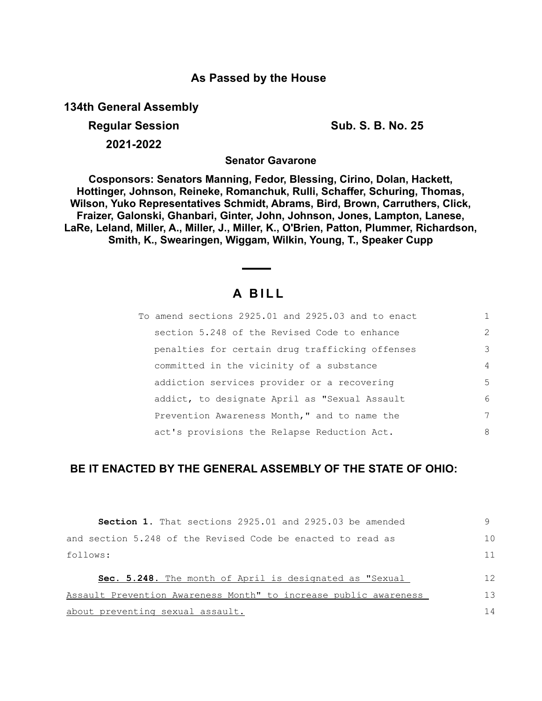## **As Passed by the House**

**134th General Assembly**

**Regular Session Sub. S. B. No. 25 2021-2022**

**Senator Gavarone**

**Cosponsors: Senators Manning, Fedor, Blessing, Cirino, Dolan, Hackett, Hottinger, Johnson, Reineke, Romanchuk, Rulli, Schaffer, Schuring, Thomas, Wilson, Yuko Representatives Schmidt, Abrams, Bird, Brown, Carruthers, Click, Fraizer, Galonski, Ghanbari, Ginter, John, Johnson, Jones, Lampton, Lanese, LaRe, Leland, Miller, A., Miller, J., Miller, K., O'Brien, Patton, Plummer, Richardson, Smith, K., Swearingen, Wiggam, Wilkin, Young, T., Speaker Cupp**

# **A B I L L**

| To amend sections 2925.01 and 2925.03 and to enact |                |
|----------------------------------------------------|----------------|
| section 5.248 of the Revised Code to enhance       | 2              |
| penalties for certain drug trafficking offenses    | 3              |
| committed in the vicinity of a substance           | $\overline{4}$ |
| addiction services provider or a recovering        | 5              |
| addict, to designate April as "Sexual Assault      | 6              |
| Prevention Awareness Month," and to name the       | 7              |
| act's provisions the Relapse Reduction Act.        | 8              |

## **BE IT ENACTED BY THE GENERAL ASSEMBLY OF THE STATE OF OHIO:**

| <b>Section 1.</b> That sections 2925.01 and 2925.03 be amended   |                |
|------------------------------------------------------------------|----------------|
| and section 5.248 of the Revised Code be enacted to read as      | 1 <sub>0</sub> |
| follows:                                                         | 11             |
| Sec. 5.248. The month of April is designated as "Sexual          | 12             |
| Assault Prevention Awareness Month" to increase public awareness | 13             |
| about preventing sexual assault.                                 | 14             |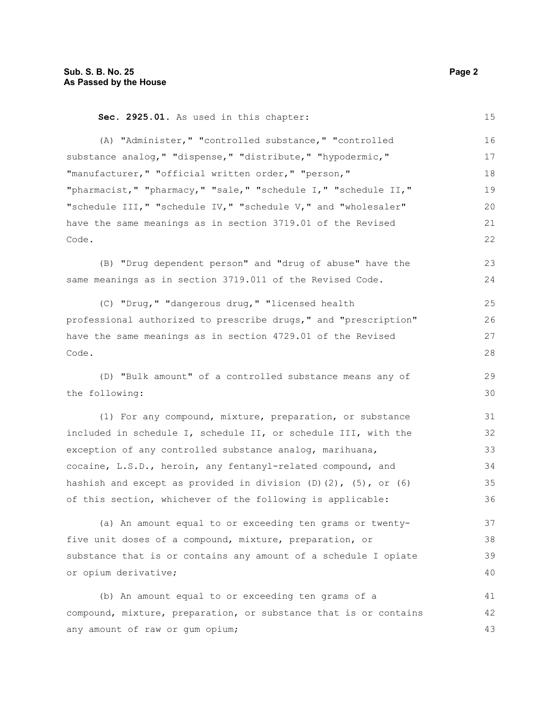**Sec. 2925.01.** As used in this chapter: (A) "Administer," "controlled substance," "controlled substance analog," "dispense," "distribute," "hypodermic," "manufacturer," "official written order," "person," "pharmacist," "pharmacy," "sale," "schedule I," "schedule II," "schedule III," "schedule IV," "schedule V," and "wholesaler" have the same meanings as in section 3719.01 of the Revised Code. (B) "Drug dependent person" and "drug of abuse" have the same meanings as in section 3719.011 of the Revised Code. (C) "Drug," "dangerous drug," "licensed health professional authorized to prescribe drugs," and "prescription" have the same meanings as in section 4729.01 of the Revised Code. (D) "Bulk amount" of a controlled substance means any of the following: (1) For any compound, mixture, preparation, or substance included in schedule I, schedule II, or schedule III, with the exception of any controlled substance analog, marihuana, cocaine, L.S.D., heroin, any fentanyl-related compound, and hashish and except as provided in division  $(D)(2)$ ,  $(5)$ , or  $(6)$ of this section, whichever of the following is applicable: (a) An amount equal to or exceeding ten grams or twentyfive unit doses of a compound, mixture, preparation, or substance that is or contains any amount of a schedule I opiate or opium derivative; 15 16 17 18 19 20 21 22 23 24 25 26 27 28 29 30 31 32 33 34 35 36 37 38 39 40

(b) An amount equal to or exceeding ten grams of a compound, mixture, preparation, or substance that is or contains any amount of raw or gum opium; 41 42 43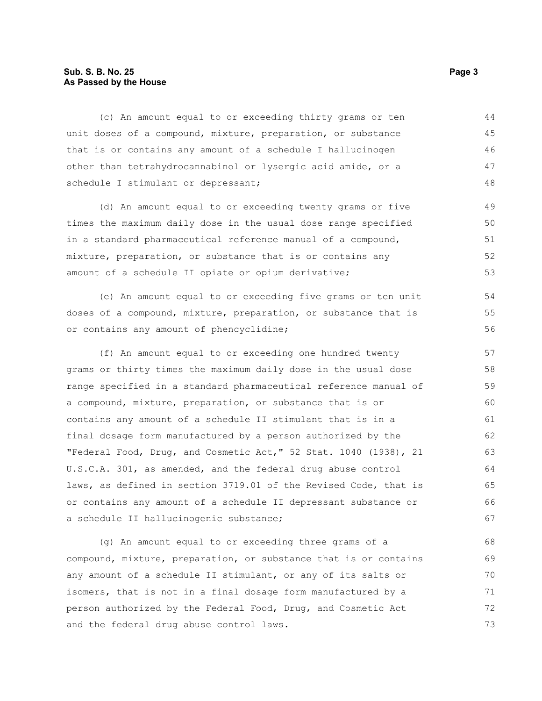#### **Sub. S. B. No. 25 Page 3 As Passed by the House**

(c) An amount equal to or exceeding thirty grams or ten unit doses of a compound, mixture, preparation, or substance that is or contains any amount of a schedule I hallucinogen other than tetrahydrocannabinol or lysergic acid amide, or a schedule I stimulant or depressant; 44 45 46 47 48

(d) An amount equal to or exceeding twenty grams or five times the maximum daily dose in the usual dose range specified in a standard pharmaceutical reference manual of a compound, mixture, preparation, or substance that is or contains any amount of a schedule II opiate or opium derivative; 49 50 51 52 53

(e) An amount equal to or exceeding five grams or ten unit doses of a compound, mixture, preparation, or substance that is or contains any amount of phencyclidine;

(f) An amount equal to or exceeding one hundred twenty grams or thirty times the maximum daily dose in the usual dose range specified in a standard pharmaceutical reference manual of a compound, mixture, preparation, or substance that is or contains any amount of a schedule II stimulant that is in a final dosage form manufactured by a person authorized by the "Federal Food, Drug, and Cosmetic Act," 52 Stat. 1040 (1938), 21 U.S.C.A. 301, as amended, and the federal drug abuse control laws, as defined in section 3719.01 of the Revised Code, that is or contains any amount of a schedule II depressant substance or a schedule II hallucinogenic substance; 57 58 59 60 61 62 63 64 65 66 67

(g) An amount equal to or exceeding three grams of a compound, mixture, preparation, or substance that is or contains any amount of a schedule II stimulant, or any of its salts or isomers, that is not in a final dosage form manufactured by a person authorized by the Federal Food, Drug, and Cosmetic Act and the federal drug abuse control laws. 68 69 70 71 72 73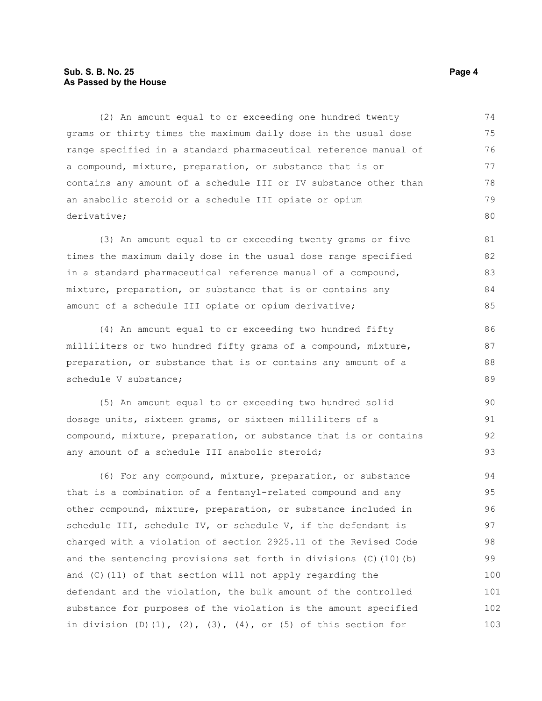#### **Sub. S. B. No. 25** Page 4 **As Passed by the House**

(2) An amount equal to or exceeding one hundred twenty grams or thirty times the maximum daily dose in the usual dose range specified in a standard pharmaceutical reference manual of a compound, mixture, preparation, or substance that is or contains any amount of a schedule III or IV substance other than an anabolic steroid or a schedule III opiate or opium derivative; 74 75 76 77 78 79 80

(3) An amount equal to or exceeding twenty grams or five times the maximum daily dose in the usual dose range specified in a standard pharmaceutical reference manual of a compound, mixture, preparation, or substance that is or contains any amount of a schedule III opiate or opium derivative; 81 82 83 84 85

(4) An amount equal to or exceeding two hundred fifty milliliters or two hundred fifty grams of a compound, mixture, preparation, or substance that is or contains any amount of a schedule V substance;

(5) An amount equal to or exceeding two hundred solid dosage units, sixteen grams, or sixteen milliliters of a compound, mixture, preparation, or substance that is or contains any amount of a schedule III anabolic steroid;

(6) For any compound, mixture, preparation, or substance that is a combination of a fentanyl-related compound and any other compound, mixture, preparation, or substance included in schedule III, schedule IV, or schedule V, if the defendant is charged with a violation of section 2925.11 of the Revised Code and the sentencing provisions set forth in divisions (C)(10)(b) and (C)(11) of that section will not apply regarding the defendant and the violation, the bulk amount of the controlled substance for purposes of the violation is the amount specified in division  $(D)$   $(1)$ ,  $(2)$ ,  $(3)$ ,  $(4)$ , or  $(5)$  of this section for 94 95 96 97 98 99 100 101 102 103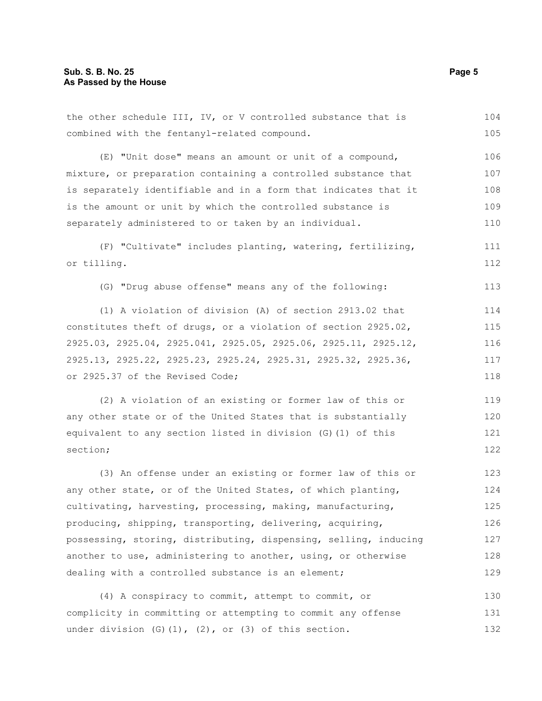the other schedule III, IV, or V controlled substance that is combined with the fentanyl-related compound. (E) "Unit dose" means an amount or unit of a compound, mixture, or preparation containing a controlled substance that is separately identifiable and in a form that indicates that it is the amount or unit by which the controlled substance is separately administered to or taken by an individual. (F) "Cultivate" includes planting, watering, fertilizing, or tilling. (G) "Drug abuse offense" means any of the following: (1) A violation of division (A) of section 2913.02 that constitutes theft of drugs, or a violation of section 2925.02, 2925.03, 2925.04, 2925.041, 2925.05, 2925.06, 2925.11, 2925.12, 2925.13, 2925.22, 2925.23, 2925.24, 2925.31, 2925.32, 2925.36, or 2925.37 of the Revised Code; (2) A violation of an existing or former law of this or any other state or of the United States that is substantially equivalent to any section listed in division (G)(1) of this section; (3) An offense under an existing or former law of this or any other state, or of the United States, of which planting, cultivating, harvesting, processing, making, manufacturing, producing, shipping, transporting, delivering, acquiring, possessing, storing, distributing, dispensing, selling, inducing another to use, administering to another, using, or otherwise dealing with a controlled substance is an element; (4) A conspiracy to commit, attempt to commit, or 104 105 106 107 108 109 110 111 112 113 114 115 116 117 118 119 120 121 122 123 124 125 126 127 128 129 130

complicity in committing or attempting to commit any offense under division  $(G)$ (1),  $(2)$ , or  $(3)$  of this section. 131 132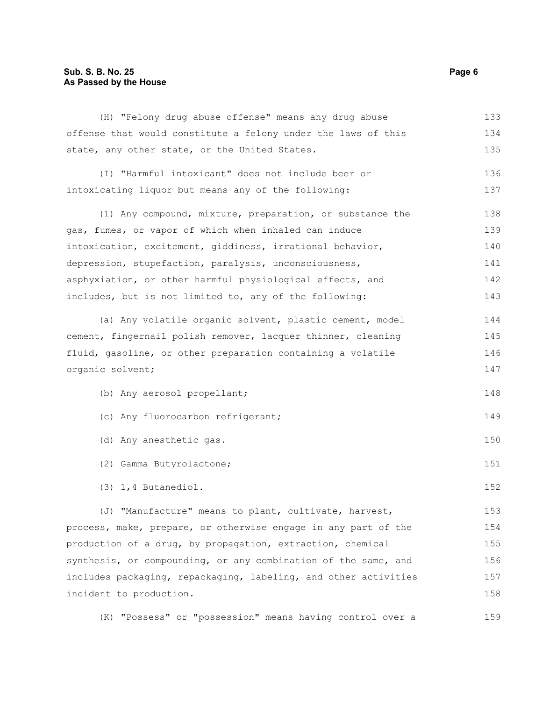### **Sub. S. B. No. 25** Page 6 **As Passed by the House**

| (H) "Felony drug abuse offense" means any drug abuse            | 133 |
|-----------------------------------------------------------------|-----|
| offense that would constitute a felony under the laws of this   | 134 |
| state, any other state, or the United States.                   | 135 |
| (I) "Harmful intoxicant" does not include beer or               | 136 |
| intoxicating liquor but means any of the following:             | 137 |
| (1) Any compound, mixture, preparation, or substance the        | 138 |
| gas, fumes, or vapor of which when inhaled can induce           | 139 |
| intoxication, excitement, giddiness, irrational behavior,       | 140 |
| depression, stupefaction, paralysis, unconsciousness,           | 141 |
| asphyxiation, or other harmful physiological effects, and       | 142 |
| includes, but is not limited to, any of the following:          | 143 |
| (a) Any volatile organic solvent, plastic cement, model         | 144 |
| cement, fingernail polish remover, lacquer thinner, cleaning    | 145 |
| fluid, qasoline, or other preparation containing a volatile     | 146 |
| organic solvent;                                                | 147 |
| (b) Any aerosol propellant;                                     | 148 |
| (c) Any fluorocarbon refrigerant;                               | 149 |
| (d) Any anesthetic gas.                                         | 150 |
| (2) Gamma Butyrolactone;                                        | 151 |
| (3) 1,4 Butanediol.                                             | 152 |
| (J) "Manufacture" means to plant, cultivate, harvest,           | 153 |
| process, make, prepare, or otherwise engage in any part of the  | 154 |
| production of a drug, by propagation, extraction, chemical      | 155 |
| synthesis, or compounding, or any combination of the same, and  | 156 |
| includes packaging, repackaging, labeling, and other activities | 157 |
| incident to production.                                         | 158 |

(K) "Possess" or "possession" means having control over a 159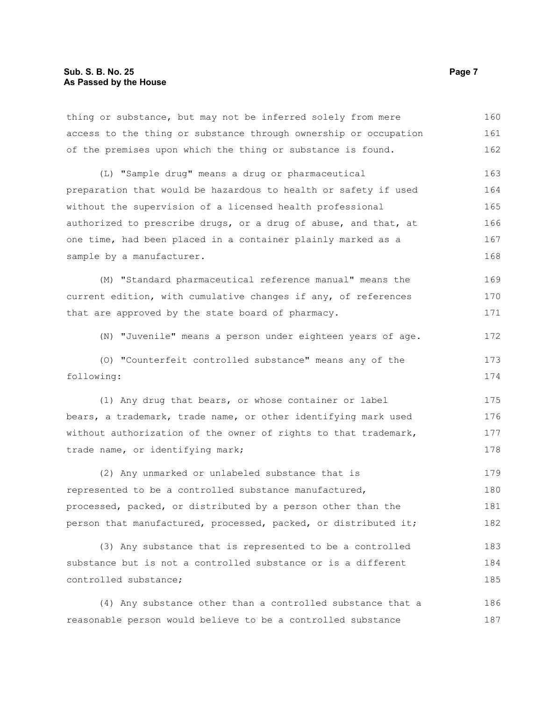#### **Sub. S. B. No. 25 Page 7 Page 7 Page 7 Page 7 Page 7 Page 7 Page 7 Page 7 Page 7 Page 7 Page 7 As Passed by the House**

thing or substance, but may not be inferred solely from mere access to the thing or substance through ownership or occupation of the premises upon which the thing or substance is found. 160 161 162

(L) "Sample drug" means a drug or pharmaceutical preparation that would be hazardous to health or safety if used without the supervision of a licensed health professional authorized to prescribe drugs, or a drug of abuse, and that, at one time, had been placed in a container plainly marked as a sample by a manufacturer. 163 164 165 166 167 168

(M) "Standard pharmaceutical reference manual" means the current edition, with cumulative changes if any, of references that are approved by the state board of pharmacy. 169 170 171

(N) "Juvenile" means a person under eighteen years of age. 172

(O) "Counterfeit controlled substance" means any of the following: 173 174

(1) Any drug that bears, or whose container or label bears, a trademark, trade name, or other identifying mark used without authorization of the owner of rights to that trademark, trade name, or identifying mark; 175 176 177 178

(2) Any unmarked or unlabeled substance that is represented to be a controlled substance manufactured, processed, packed, or distributed by a person other than the person that manufactured, processed, packed, or distributed it; 179 180 181 182

(3) Any substance that is represented to be a controlled substance but is not a controlled substance or is a different controlled substance; 183 184 185

(4) Any substance other than a controlled substance that a reasonable person would believe to be a controlled substance 186 187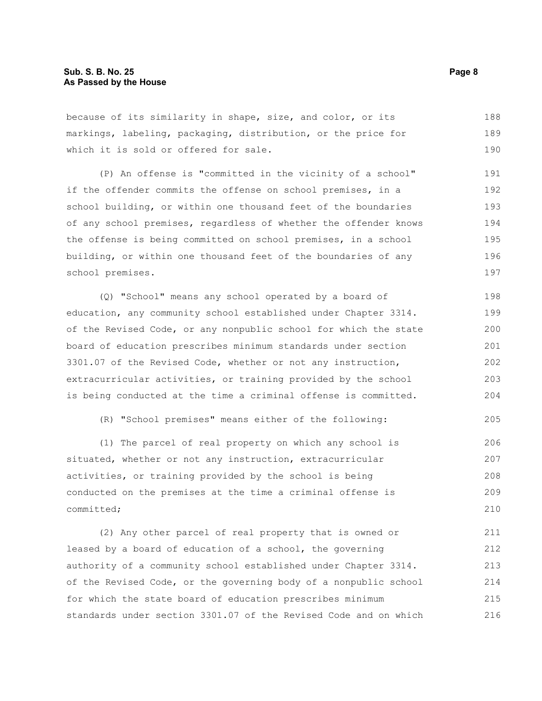because of its similarity in shape, size, and color, or its markings, labeling, packaging, distribution, or the price for which it is sold or offered for sale. 188 189 190

(P) An offense is "committed in the vicinity of a school" if the offender commits the offense on school premises, in a school building, or within one thousand feet of the boundaries of any school premises, regardless of whether the offender knows the offense is being committed on school premises, in a school building, or within one thousand feet of the boundaries of any school premises. 191 192 193 194 195 196 197

(Q) "School" means any school operated by a board of education, any community school established under Chapter 3314. of the Revised Code, or any nonpublic school for which the state board of education prescribes minimum standards under section 3301.07 of the Revised Code, whether or not any instruction, extracurricular activities, or training provided by the school is being conducted at the time a criminal offense is committed. 198 199 200 201 202 203 204

(R) "School premises" means either of the following:

(1) The parcel of real property on which any school is situated, whether or not any instruction, extracurricular activities, or training provided by the school is being conducted on the premises at the time a criminal offense is committed; 206 207 208 209 210

(2) Any other parcel of real property that is owned or leased by a board of education of a school, the governing authority of a community school established under Chapter 3314. of the Revised Code, or the governing body of a nonpublic school for which the state board of education prescribes minimum standards under section 3301.07 of the Revised Code and on which 211 212 213 214 215 216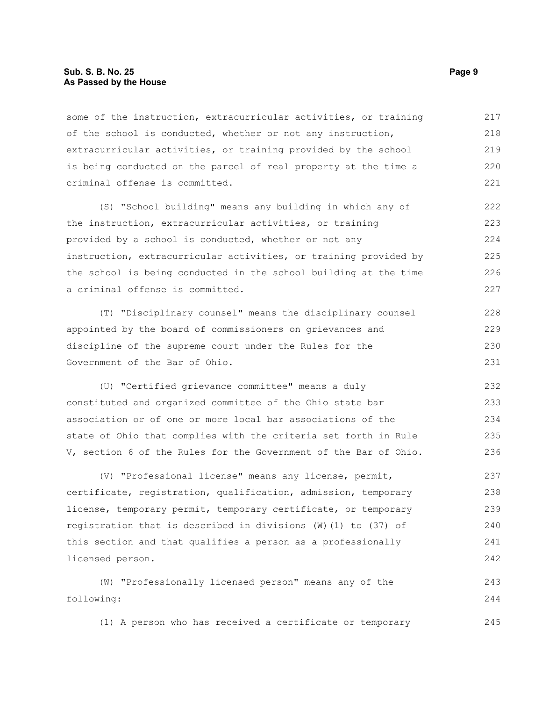#### **Sub. S. B. No. 25 Page 9 As Passed by the House**

some of the instruction, extracurricular activities, or training of the school is conducted, whether or not any instruction, extracurricular activities, or training provided by the school is being conducted on the parcel of real property at the time a criminal offense is committed. 217 218 219 220 221

(S) "School building" means any building in which any of the instruction, extracurricular activities, or training provided by a school is conducted, whether or not any instruction, extracurricular activities, or training provided by the school is being conducted in the school building at the time a criminal offense is committed.

(T) "Disciplinary counsel" means the disciplinary counsel appointed by the board of commissioners on grievances and discipline of the supreme court under the Rules for the Government of the Bar of Ohio. 228 229 230 231

(U) "Certified grievance committee" means a duly constituted and organized committee of the Ohio state bar association or of one or more local bar associations of the state of Ohio that complies with the criteria set forth in Rule V, section 6 of the Rules for the Government of the Bar of Ohio. 232 233 234 235 236

(V) "Professional license" means any license, permit, certificate, registration, qualification, admission, temporary license, temporary permit, temporary certificate, or temporary registration that is described in divisions  $(W)$  (1) to (37) of this section and that qualifies a person as a professionally licensed person. 237 238 239 240 241 242

(W) "Professionally licensed person" means any of the following: 243 244

(1) A person who has received a certificate or temporary 245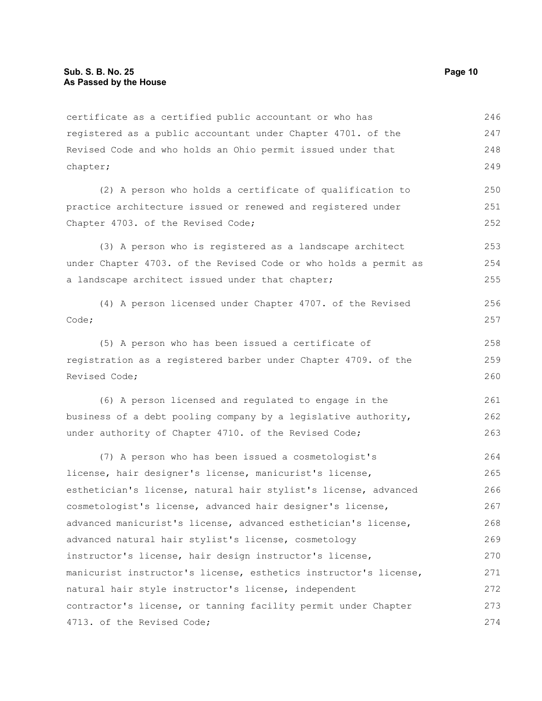certificate as a certified public accountant or who has registered as a public accountant under Chapter 4701. of the Revised Code and who holds an Ohio permit issued under that chapter; 246 247 248 249

(2) A person who holds a certificate of qualification to practice architecture issued or renewed and registered under Chapter 4703. of the Revised Code; 250 251 252

(3) A person who is registered as a landscape architect under Chapter 4703. of the Revised Code or who holds a permit as a landscape architect issued under that chapter; 253 254 255

(4) A person licensed under Chapter 4707. of the Revised Code; 256 257

(5) A person who has been issued a certificate of registration as a registered barber under Chapter 4709. of the Revised Code; 258 259 260

(6) A person licensed and regulated to engage in the business of a debt pooling company by a legislative authority, under authority of Chapter 4710. of the Revised Code; 261 262 263

(7) A person who has been issued a cosmetologist's license, hair designer's license, manicurist's license, esthetician's license, natural hair stylist's license, advanced cosmetologist's license, advanced hair designer's license, advanced manicurist's license, advanced esthetician's license, advanced natural hair stylist's license, cosmetology instructor's license, hair design instructor's license, manicurist instructor's license, esthetics instructor's license, natural hair style instructor's license, independent contractor's license, or tanning facility permit under Chapter 4713. of the Revised Code; 264 265 266 267 268 269 270 271 272 273 274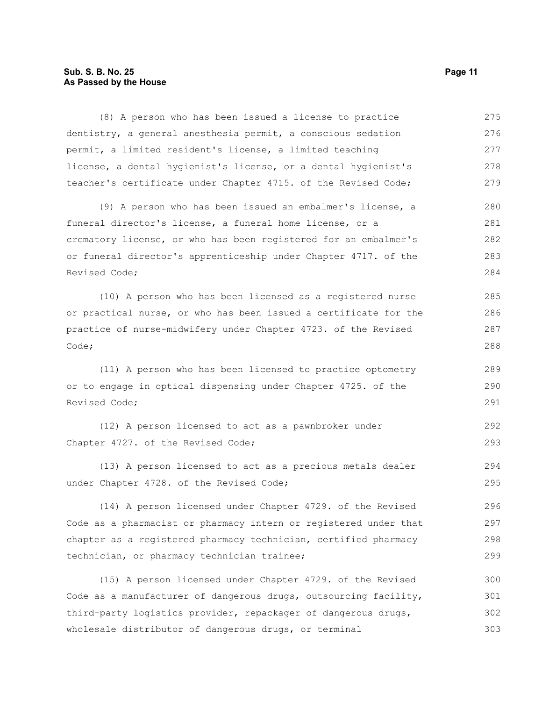### **Sub. S. B. No. 25** Page 11 **As Passed by the House**

| (8) A person who has been issued a license to practice           | 275 |
|------------------------------------------------------------------|-----|
| dentistry, a general anesthesia permit, a conscious sedation     | 276 |
| permit, a limited resident's license, a limited teaching         | 277 |
| license, a dental hygienist's license, or a dental hygienist's   | 278 |
| teacher's certificate under Chapter 4715. of the Revised Code;   | 279 |
| (9) A person who has been issued an embalmer's license, a        | 280 |
| funeral director's license, a funeral home license, or a         | 281 |
| crematory license, or who has been registered for an embalmer's  | 282 |
| or funeral director's apprenticeship under Chapter 4717. of the  | 283 |
| Revised Code;                                                    | 284 |
| (10) A person who has been licensed as a registered nurse        | 285 |
| or practical nurse, or who has been issued a certificate for the | 286 |
| practice of nurse-midwifery under Chapter 4723. of the Revised   | 287 |
| Code;                                                            | 288 |
| (11) A person who has been licensed to practice optometry        | 289 |
| or to engage in optical dispensing under Chapter 4725. of the    | 290 |
| Revised Code;                                                    | 291 |
| (12) A person licensed to act as a pawnbroker under              | 292 |
| Chapter 4727. of the Revised Code;                               | 293 |
| (13) A person licensed to act as a precious metals dealer        | 294 |
| under Chapter 4728. of the Revised Code;                         | 295 |
| (14) A person licensed under Chapter 4729. of the Revised        | 296 |
| Code as a pharmacist or pharmacy intern or registered under that | 297 |
| chapter as a registered pharmacy technician, certified pharmacy  | 298 |
| technician, or pharmacy technician trainee;                      | 299 |
| (15) A person licensed under Chapter 4729. of the Revised        | 300 |
| Code as a manufacturer of dangerous drugs, outsourcing facility, | 301 |
| third-party logistics provider, repackager of dangerous drugs,   | 302 |
| wholesale distributor of dangerous drugs, or terminal            | 303 |
|                                                                  |     |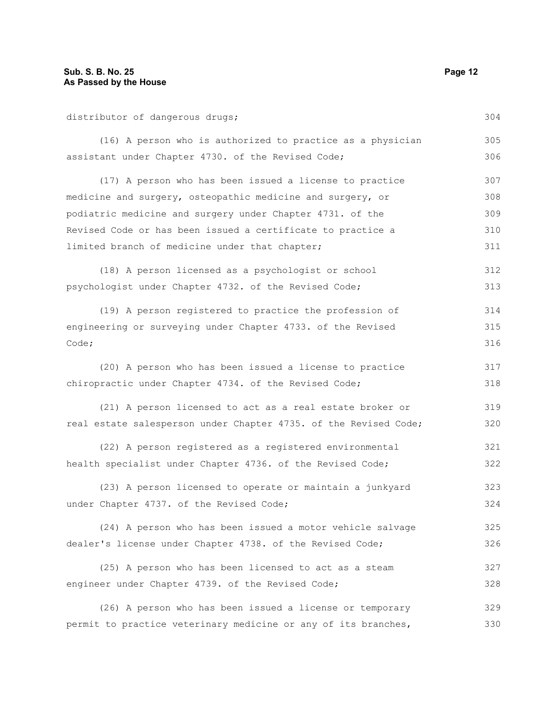distributor of dangerous drugs;

|                                                    |  |  |  |  |  | (16) A person who is authorized to practice as a physician | 305 |
|----------------------------------------------------|--|--|--|--|--|------------------------------------------------------------|-----|
| assistant under Chapter 4730. of the Revised Code; |  |  |  |  |  |                                                            | 306 |

(17) A person who has been issued a license to practice medicine and surgery, osteopathic medicine and surgery, or podiatric medicine and surgery under Chapter 4731. of the Revised Code or has been issued a certificate to practice a limited branch of medicine under that chapter; 307 308 309 310 311

(18) A person licensed as a psychologist or school psychologist under Chapter 4732. of the Revised Code; 312 313

(19) A person registered to practice the profession of engineering or surveying under Chapter 4733. of the Revised Code; 314 315 316

(20) A person who has been issued a license to practice chiropractic under Chapter 4734. of the Revised Code; 317 318

(21) A person licensed to act as a real estate broker or real estate salesperson under Chapter 4735. of the Revised Code; 319 320

(22) A person registered as a registered environmental health specialist under Chapter 4736. of the Revised Code; 321 322

(23) A person licensed to operate or maintain a junkyard under Chapter 4737. of the Revised Code; 323 324

(24) A person who has been issued a motor vehicle salvage dealer's license under Chapter 4738. of the Revised Code; 325 326

(25) A person who has been licensed to act as a steam engineer under Chapter 4739. of the Revised Code; 327 328

(26) A person who has been issued a license or temporary permit to practice veterinary medicine or any of its branches, 329 330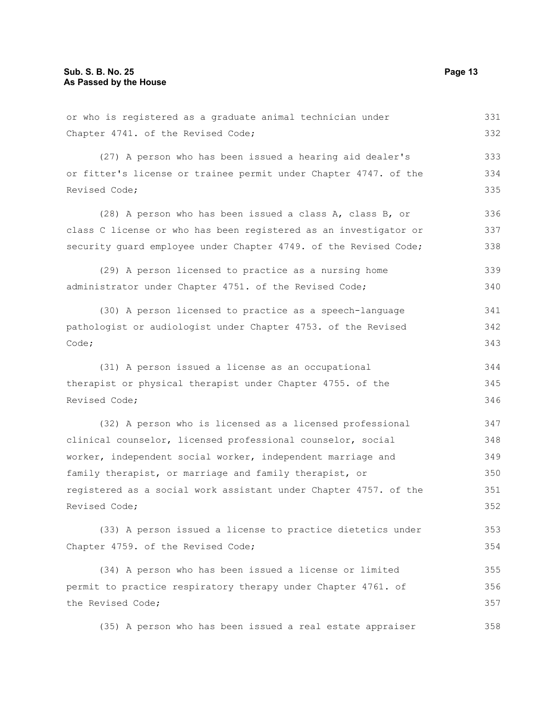or who is registered as a graduate animal technician under Chapter 4741. of the Revised Code; (27) A person who has been issued a hearing aid dealer's or fitter's license or trainee permit under Chapter 4747. of the Revised Code; (28) A person who has been issued a class A, class B, or class C license or who has been registered as an investigator or security guard employee under Chapter 4749. of the Revised Code; (29) A person licensed to practice as a nursing home administrator under Chapter 4751. of the Revised Code; (30) A person licensed to practice as a speech-language pathologist or audiologist under Chapter 4753. of the Revised Code; (31) A person issued a license as an occupational therapist or physical therapist under Chapter 4755. of the Revised Code; (32) A person who is licensed as a licensed professional clinical counselor, licensed professional counselor, social worker, independent social worker, independent marriage and family therapist, or marriage and family therapist, or registered as a social work assistant under Chapter 4757. of the Revised Code; 331 332 333 334 335 336 337 338 339 340 341 342 343 344 345 346 347 348 349 350 351 352

(33) A person issued a license to practice dietetics under Chapter 4759. of the Revised Code;

(34) A person who has been issued a license or limited permit to practice respiratory therapy under Chapter 4761. of the Revised Code; 355 356 357

(35) A person who has been issued a real estate appraiser 358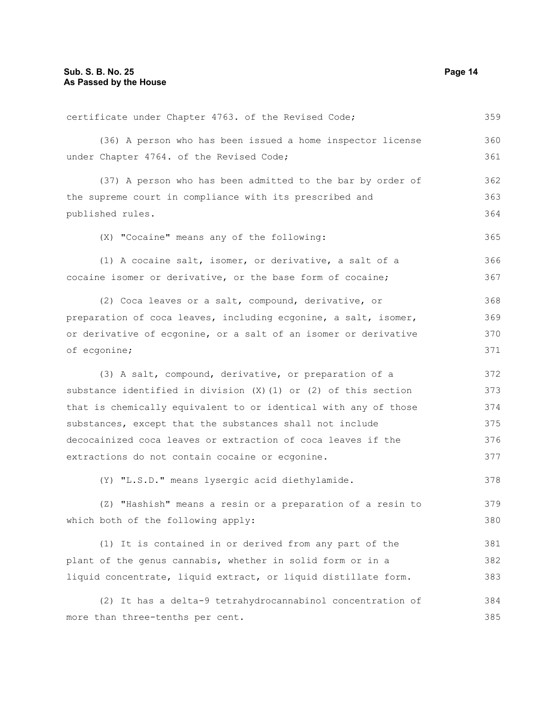| certificate under Chapter 4763. of the Revised Code;              | 359 |
|-------------------------------------------------------------------|-----|
| (36) A person who has been issued a home inspector license        | 360 |
| under Chapter 4764. of the Revised Code;                          | 361 |
| (37) A person who has been admitted to the bar by order of        | 362 |
| the supreme court in compliance with its prescribed and           | 363 |
| published rules.                                                  | 364 |
| (X) "Cocaine" means any of the following:                         | 365 |
| (1) A cocaine salt, isomer, or derivative, a salt of a            | 366 |
| cocaine isomer or derivative, or the base form of cocaine;        | 367 |
| (2) Coca leaves or a salt, compound, derivative, or               | 368 |
| preparation of coca leaves, including ecgonine, a salt, isomer,   | 369 |
| or derivative of ecgonine, or a salt of an isomer or derivative   | 370 |
| of ecgonine;                                                      | 371 |
| (3) A salt, compound, derivative, or preparation of a             | 372 |
| substance identified in division $(X)$ (1) or (2) of this section | 373 |
| that is chemically equivalent to or identical with any of those   | 374 |
| substances, except that the substances shall not include          | 375 |
| decocainized coca leaves or extraction of coca leaves if the      | 376 |
| extractions do not contain cocaine or ecgonine.                   | 377 |
| (Y) "L.S.D." means lysergic acid diethylamide.                    | 378 |
| (Z) "Hashish" means a resin or a preparation of a resin to        | 379 |
| which both of the following apply:                                | 380 |
| (1) It is contained in or derived from any part of the            | 381 |
| plant of the genus cannabis, whether in solid form or in a        | 382 |
| liquid concentrate, liquid extract, or liquid distillate form.    | 383 |
| (2) It has a delta-9 tetrahydrocannabinol concentration of        | 384 |
| more than three-tenths per cent.                                  | 385 |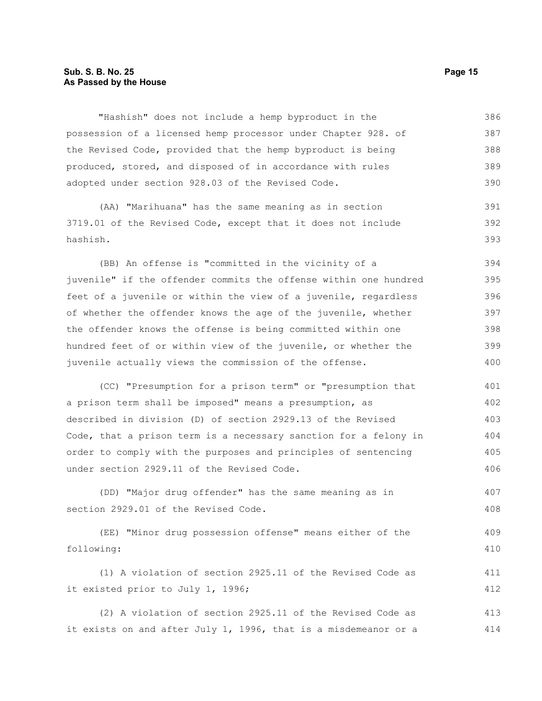#### **Sub. S. B. No. 25 Page 15 As Passed by the House**

"Hashish" does not include a hemp byproduct in the possession of a licensed hemp processor under Chapter 928. of the Revised Code, provided that the hemp byproduct is being produced, stored, and disposed of in accordance with rules adopted under section 928.03 of the Revised Code. 386 387 388 389 390

(AA) "Marihuana" has the same meaning as in section 3719.01 of the Revised Code, except that it does not include hashish. 391 392 393

(BB) An offense is "committed in the vicinity of a juvenile" if the offender commits the offense within one hundred feet of a juvenile or within the view of a juvenile, regardless of whether the offender knows the age of the juvenile, whether the offender knows the offense is being committed within one hundred feet of or within view of the juvenile, or whether the juvenile actually views the commission of the offense. 394 395 396 397 398 399 400

(CC) "Presumption for a prison term" or "presumption that a prison term shall be imposed" means a presumption, as described in division (D) of section 2929.13 of the Revised Code, that a prison term is a necessary sanction for a felony in order to comply with the purposes and principles of sentencing under section 2929.11 of the Revised Code. 401 402 403 404 405 406

(DD) "Major drug offender" has the same meaning as in section 2929.01 of the Revised Code. 407 408

```
(EE) "Minor drug possession offense" means either of the
following: 
                                                                             409
                                                                             410
```
(1) A violation of section 2925.11 of the Revised Code as it existed prior to July 1, 1996; 411 412

(2) A violation of section 2925.11 of the Revised Code as it exists on and after July 1, 1996, that is a misdemeanor or a 413 414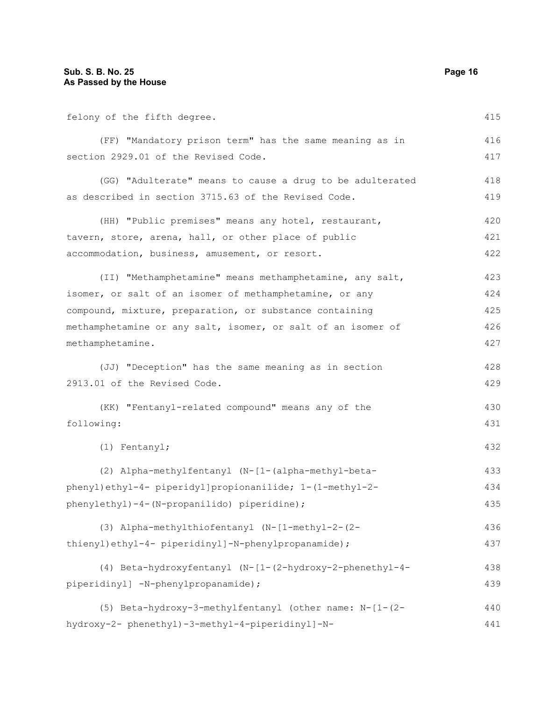| felony of the fifth degree.                                  | 415 |
|--------------------------------------------------------------|-----|
| (FF) "Mandatory prison term" has the same meaning as in      | 416 |
| section 2929.01 of the Revised Code.                         | 417 |
| (GG) "Adulterate" means to cause a drug to be adulterated    | 418 |
| as described in section 3715.63 of the Revised Code.         | 419 |
| (HH) "Public premises" means any hotel, restaurant,          | 420 |
| tavern, store, arena, hall, or other place of public         | 421 |
| accommodation, business, amusement, or resort.               | 422 |
| (II) "Methamphetamine" means methamphetamine, any salt,      | 423 |
| isomer, or salt of an isomer of methamphetamine, or any      | 424 |
| compound, mixture, preparation, or substance containing      | 425 |
| methamphetamine or any salt, isomer, or salt of an isomer of | 426 |
| methamphetamine.                                             | 427 |
| (JJ) "Deception" has the same meaning as in section          | 428 |
| 2913.01 of the Revised Code.                                 | 429 |
| (KK) "Fentanyl-related compound" means any of the            | 430 |
| following:                                                   | 431 |
| (1) Fentanyl;                                                | 432 |
| (2) Alpha-methylfentanyl (N-[1-(alpha-methyl-beta-           | 433 |
| phenyl)ethyl-4- piperidyl]propionanilide; 1-(1-methyl-2-     | 434 |
| phenylethyl)-4-(N-propanilido) piperidine);                  | 435 |
| (3) Alpha-methylthiofentanyl (N-[1-methyl-2-(2-              | 436 |
| thienyl)ethyl-4- piperidinyl]-N-phenylpropanamide);          | 437 |
| (4) Beta-hydroxyfentanyl (N-[1-(2-hydroxy-2-phenethyl-4-     | 438 |
| piperidinyl] -N-phenylpropanamide);                          | 439 |
| (5) Beta-hydroxy-3-methylfentanyl (other name: N-[1-(2-      | 440 |
| hydroxy-2- phenethyl)-3-methyl-4-piperidinyl]-N-             | 441 |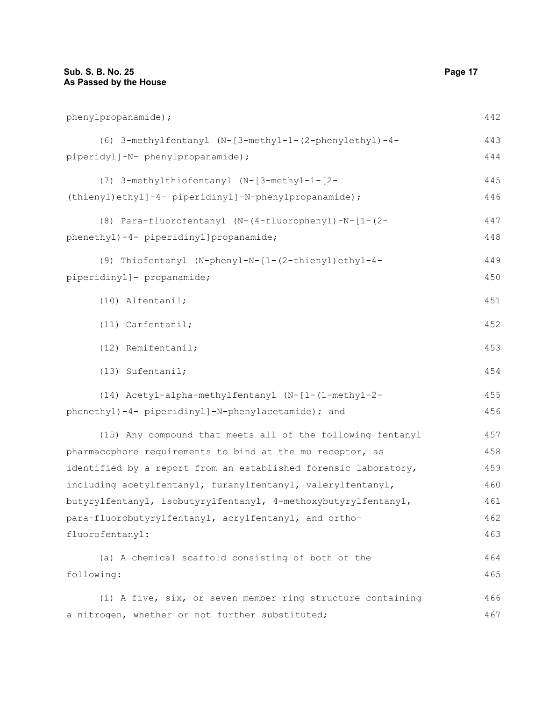| phenylpropanamide);                                             | 442 |
|-----------------------------------------------------------------|-----|
| (6) 3-methylfentanyl (N-[3-methyl-1-(2-phenylethyl)-4-          | 443 |
| piperidyl]-N- phenylpropanamide);                               | 444 |
| (7) 3-methylthiofentanyl (N-[3-methyl-1-[2-                     | 445 |
| (thienyl)ethyl]-4- piperidinyl]-N-phenylpropanamide);           | 446 |
| (8) Para-fluorofentanyl (N-(4-fluorophenyl)-N-[1-(2-            | 447 |
| phenethyl)-4- piperidinyl]propanamide;                          | 448 |
| (9) Thiofentanyl (N-phenyl-N-[1-(2-thienyl)ethyl-4-             | 449 |
| piperidinyl]- propanamide;                                      | 450 |
| (10) Alfentanil;                                                | 451 |
| $(11)$ Carfentanil;                                             | 452 |
| (12) Remifentanil;                                              | 453 |
| $(13)$ Sufentanil;                                              | 454 |
| (14) Acetyl-alpha-methylfentanyl (N-[1-(1-methyl-2-             | 455 |
| phenethyl)-4- piperidinyl]-N-phenylacetamide); and              | 456 |
| (15) Any compound that meets all of the following fentanyl      | 457 |
| pharmacophore requirements to bind at the mu receptor, as       | 458 |
| identified by a report from an established forensic laboratory, | 459 |
| including acetylfentanyl, furanylfentanyl, valerylfentanyl,     | 460 |
| butyrylfentanyl, isobutyrylfentanyl, 4-methoxybutyrylfentanyl,  | 461 |
| para-fluorobutyrylfentanyl, acrylfentanyl, and ortho-           | 462 |
| fluorofentanyl:                                                 | 463 |

(a) A chemical scaffold consisting of both of the following: 464 465

(i) A five, six, or seven member ring structure containing a nitrogen, whether or not further substituted; 466 467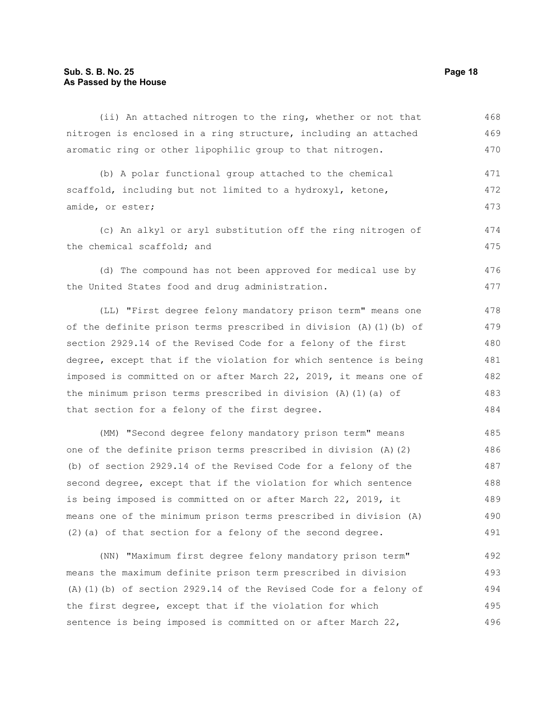#### **Sub. S. B. No. 25 Page 18 As Passed by the House**

(ii) An attached nitrogen to the ring, whether or not that nitrogen is enclosed in a ring structure, including an attached aromatic ring or other lipophilic group to that nitrogen. 468 469 470

(b) A polar functional group attached to the chemical scaffold, including but not limited to a hydroxyl, ketone, amide, or ester; 471 472 473

(c) An alkyl or aryl substitution off the ring nitrogen of the chemical scaffold; and 474 475

(d) The compound has not been approved for medical use by the United States food and drug administration. 476 477

(LL) "First degree felony mandatory prison term" means one of the definite prison terms prescribed in division  $(A)$   $(1)$   $(b)$  of section 2929.14 of the Revised Code for a felony of the first degree, except that if the violation for which sentence is being imposed is committed on or after March 22, 2019, it means one of the minimum prison terms prescribed in division (A)(1)(a) of that section for a felony of the first degree. 478 479 480 481 482 483 484

(MM) "Second degree felony mandatory prison term" means one of the definite prison terms prescribed in division (A)(2) (b) of section 2929.14 of the Revised Code for a felony of the second degree, except that if the violation for which sentence is being imposed is committed on or after March 22, 2019, it means one of the minimum prison terms prescribed in division (A) (2)(a) of that section for a felony of the second degree. 485 486 487 488 489 490 491

(NN) "Maximum first degree felony mandatory prison term" means the maximum definite prison term prescribed in division (A)(1)(b) of section 2929.14 of the Revised Code for a felony of the first degree, except that if the violation for which sentence is being imposed is committed on or after March 22, 492 493 494 495 496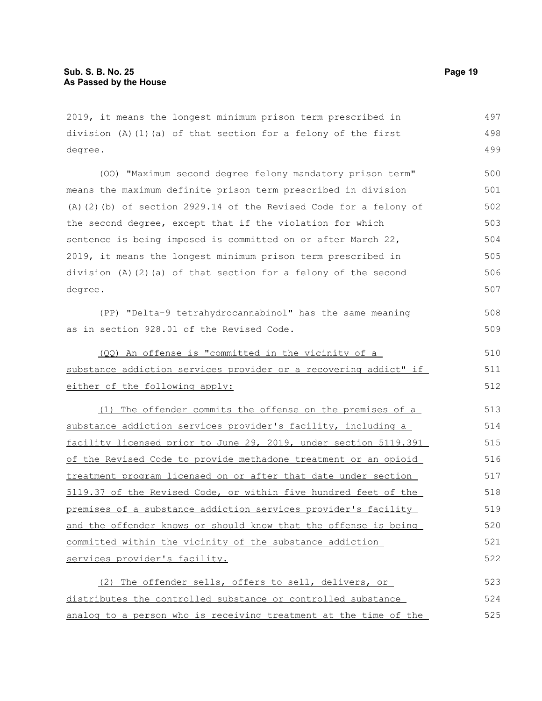2019, it means the longest minimum prison term prescribed in division (A)(1)(a) of that section for a felony of the first degree. 497 498 499

(OO) "Maximum second degree felony mandatory prison term" means the maximum definite prison term prescribed in division (A)(2)(b) of section 2929.14 of the Revised Code for a felony of the second degree, except that if the violation for which sentence is being imposed is committed on or after March 22, 2019, it means the longest minimum prison term prescribed in division (A)(2)(a) of that section for a felony of the second degree. 500 501 502 503 504 505 506 507

(PP) "Delta-9 tetrahydrocannabinol" has the same meaning as in section 928.01 of the Revised Code.

(QQ) An offense is "committed in the vicinity of a substance addiction services provider or a recovering addict" if either of the following apply: 510 511 512

(1) The offender commits the offense on the premises of a substance addiction services provider's facility, including a facility licensed prior to June 29, 2019, under section 5119.391 of the Revised Code to provide methadone treatment or an opioid treatment program licensed on or after that date under section 5119.37 of the Revised Code, or within five hundred feet of the premises of a substance addiction services provider's facility and the offender knows or should know that the offense is being committed within the vicinity of the substance addiction services provider's facility. 513 514 515 516 517 518 519 520 521 522

(2) The offender sells, offers to sell, delivers, or distributes the controlled substance or controlled substance analog to a person who is receiving treatment at the time of the 523 524 525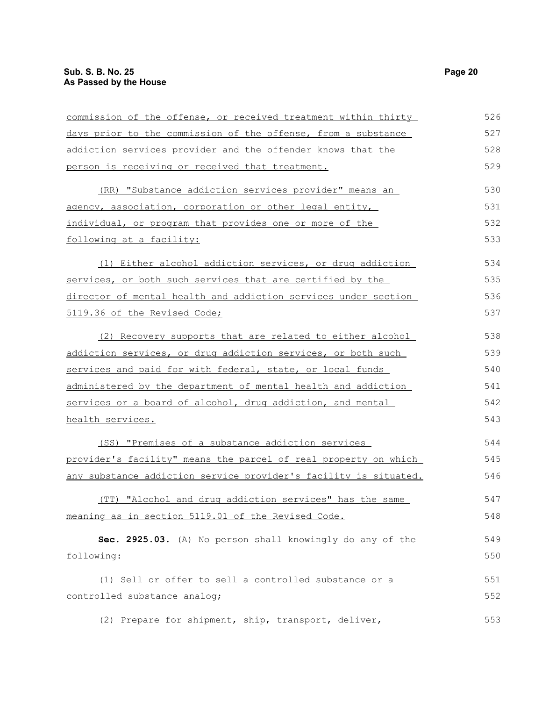| commission of the offense, or received treatment within thirty   | 526 |
|------------------------------------------------------------------|-----|
| days prior to the commission of the offense, from a substance    | 527 |
| addiction services provider and the offender knows that the      | 528 |
| person is receiving or received that treatment.                  | 529 |
| (RR) "Substance addiction services provider" means an            | 530 |
| agency, association, corporation or other legal entity,          | 531 |
| individual, or program that provides one or more of the          | 532 |
| following at a facility:                                         | 533 |
| (1) Either alcohol addiction services, or drug addiction         | 534 |
| services, or both such services that are certified by the        | 535 |
| director of mental health and addiction services under section   | 536 |
| 5119.36 of the Revised Code;                                     | 537 |
| (2) Recovery supports that are related to either alcohol         | 538 |
| addiction services, or drug addiction services, or both such     | 539 |
| services and paid for with federal, state, or local funds        | 540 |
| administered by the department of mental health and addiction    | 541 |
| services or a board of alcohol, drug addiction, and mental       | 542 |
| health services.                                                 | 543 |
| (SS) "Premises of a substance addiction services                 | 544 |
| provider's facility" means the parcel of real property on which  | 545 |
| any substance addiction service provider's facility is situated. | 546 |
| (TT) "Alcohol and drug addiction services" has the same          | 547 |
| meaning as in section 5119.01 of the Revised Code.               | 548 |
| Sec. 2925.03. (A) No person shall knowingly do any of the        | 549 |
| following:                                                       | 550 |
| (1) Sell or offer to sell a controlled substance or a            | 551 |
| controlled substance analog;                                     | 552 |
| (2) Prepare for shipment, ship, transport, deliver,              | 553 |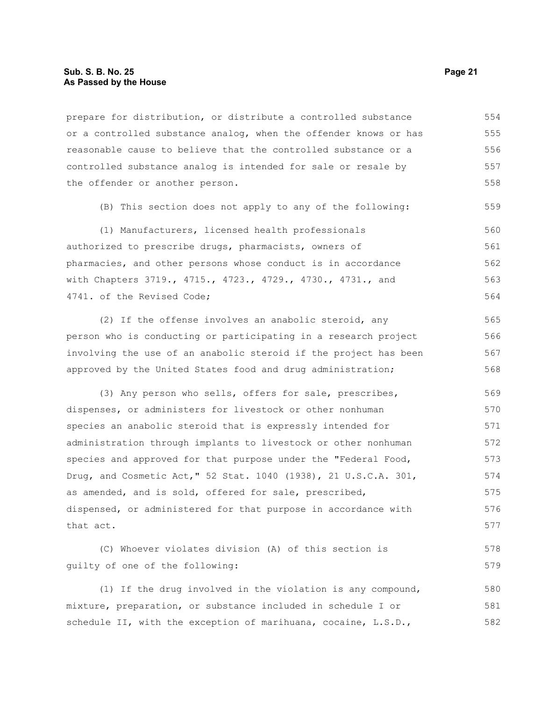prepare for distribution, or distribute a controlled substance or a controlled substance analog, when the offender knows or has reasonable cause to believe that the controlled substance or a controlled substance analog is intended for sale or resale by the offender or another person. 554 555 556 557 558

(B) This section does not apply to any of the following:

(1) Manufacturers, licensed health professionals authorized to prescribe drugs, pharmacists, owners of pharmacies, and other persons whose conduct is in accordance with Chapters 3719., 4715., 4723., 4729., 4730., 4731., and 4741. of the Revised Code; 560 561 562 563 564

(2) If the offense involves an anabolic steroid, any person who is conducting or participating in a research project involving the use of an anabolic steroid if the project has been approved by the United States food and drug administration;

(3) Any person who sells, offers for sale, prescribes, dispenses, or administers for livestock or other nonhuman species an anabolic steroid that is expressly intended for administration through implants to livestock or other nonhuman species and approved for that purpose under the "Federal Food, Drug, and Cosmetic Act," 52 Stat. 1040 (1938), 21 U.S.C.A. 301, as amended, and is sold, offered for sale, prescribed, dispensed, or administered for that purpose in accordance with that act. 569 570 571 572 573 574 575 576 577

(C) Whoever violates division (A) of this section is guilty of one of the following: 578 579

(1) If the drug involved in the violation is any compound, mixture, preparation, or substance included in schedule I or schedule II, with the exception of marihuana, cocaine, L.S.D., 580 581 582

559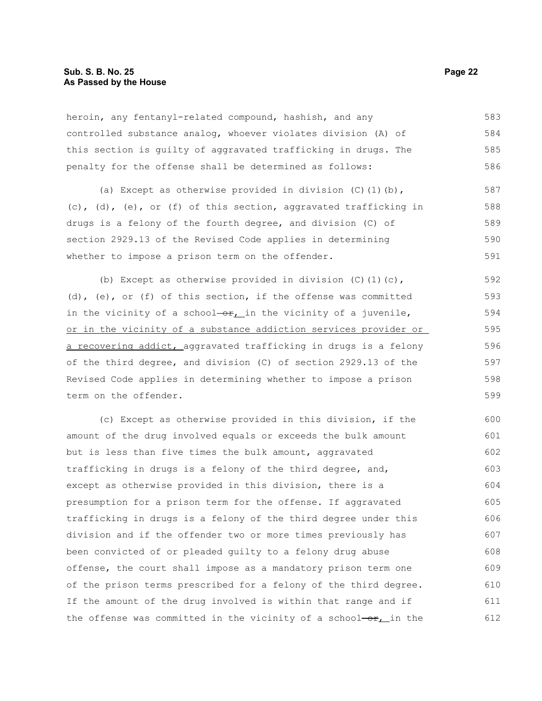heroin, any fentanyl-related compound, hashish, and any controlled substance analog, whoever violates division (A) of this section is guilty of aggravated trafficking in drugs. The penalty for the offense shall be determined as follows: 583 584 585 586

(a) Except as otherwise provided in division (C)(1)(b), (c), (d), (e), or (f) of this section, aggravated trafficking in drugs is a felony of the fourth degree, and division (C) of section 2929.13 of the Revised Code applies in determining whether to impose a prison term on the offender. 587 588 589 590 591

(b) Except as otherwise provided in division (C)(1)(c), (d), (e), or (f) of this section, if the offense was committed in the vicinity of a school– $\Theta$ ; in the vicinity of a juvenile, or in the vicinity of a substance addiction services provider or a recovering addict, aggravated trafficking in drugs is a felony of the third degree, and division (C) of section 2929.13 of the Revised Code applies in determining whether to impose a prison term on the offender.

(c) Except as otherwise provided in this division, if the amount of the drug involved equals or exceeds the bulk amount but is less than five times the bulk amount, aggravated trafficking in drugs is a felony of the third degree, and, except as otherwise provided in this division, there is a presumption for a prison term for the offense. If aggravated trafficking in drugs is a felony of the third degree under this division and if the offender two or more times previously has been convicted of or pleaded guilty to a felony drug abuse offense, the court shall impose as a mandatory prison term one of the prison terms prescribed for a felony of the third degree. If the amount of the drug involved is within that range and if the offense was committed in the vicinity of a school- $\Theta_{r}$  in the 600 601 602 603 604 605 606 607 608 609 610 611 612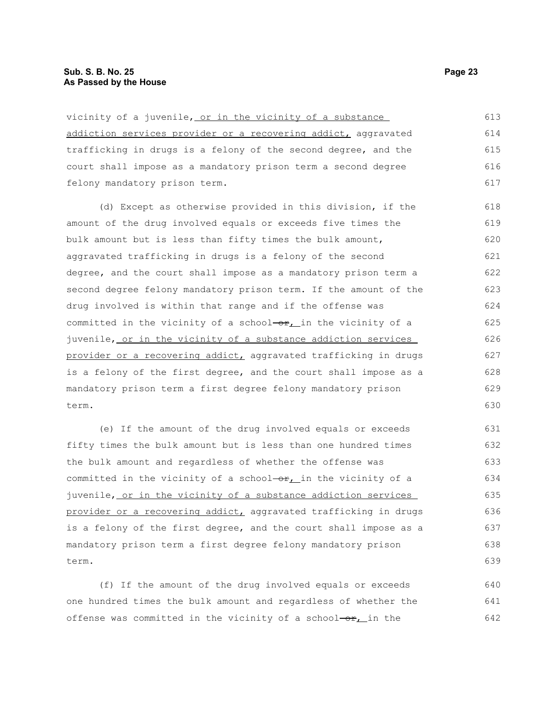#### **Sub. S. B. No. 25 Page 23 As Passed by the House**

| vicinity of a juvenile, or in the vicinity of a substance                 | 613 |
|---------------------------------------------------------------------------|-----|
| addiction services provider or a recovering addict, aggravated            | 614 |
| trafficking in drugs is a felony of the second degree, and the            | 615 |
| court shall impose as a mandatory prison term a second degree             | 616 |
| felony mandatory prison term.                                             | 617 |
| (d) Except as otherwise provided in this division, if the                 | 618 |
| amount of the drug involved equals or exceeds five times the              | 619 |
| bulk amount but is less than fifty times the bulk amount,                 | 620 |
| aggravated trafficking in drugs is a felony of the second                 | 621 |
| degree, and the court shall impose as a mandatory prison term a           | 622 |
| second degree felony mandatory prison term. If the amount of the          | 623 |
| drug involved is within that range and if the offense was                 | 624 |
| committed in the vicinity of a school <del>-or</del> in the vicinity of a | 625 |
| juvenile, or in the vicinity of a substance addiction services            | 626 |
| provider or a recovering addict, aggravated trafficking in drugs          | 627 |
| is a felony of the first degree, and the court shall impose as a          | 628 |
| mandatory prison term a first degree felony mandatory prison              | 629 |
| term.                                                                     | 630 |
| (e) If the amount of the drug involved equals or exceeds                  | 631 |
| fifty times the bulk amount but is less than one hundred times            | 632 |
| the bulk amount and regardless of whether the offense was                 | 633 |
|                                                                           |     |

committed in the vicinity of a school- $\sigma$ <sub>r</sub> in the vicinity of a juvenile, or in the vicinity of a substance addiction services provider or a recovering addict, aggravated trafficking in drugs is a felony of the first degree, and the court shall impose as a mandatory prison term a first degree felony mandatory prison term. 634 635 636 637 638 639

(f) If the amount of the drug involved equals or exceeds one hundred times the bulk amount and regardless of whether the offense was committed in the vicinity of a school-or, in the 640 641 642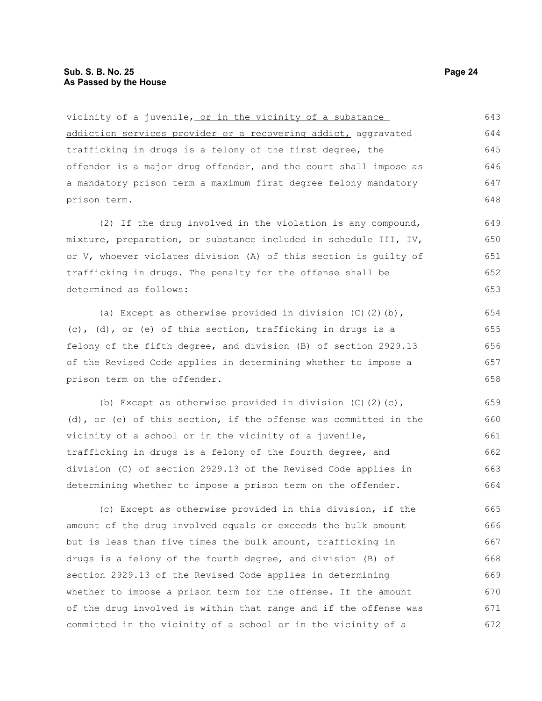vicinity of a juvenile, or in the vicinity of a substance addiction services provider or a recovering addict, aggravated trafficking in drugs is a felony of the first degree, the offender is a major drug offender, and the court shall impose as a mandatory prison term a maximum first degree felony mandatory prison term. (2) If the drug involved in the violation is any compound, mixture, preparation, or substance included in schedule III, IV, or V, whoever violates division (A) of this section is guilty of trafficking in drugs. The penalty for the offense shall be determined as follows: (a) Except as otherwise provided in division  $(C)$   $(2)$   $(b)$ , (c), (d), or (e) of this section, trafficking in drugs is a felony of the fifth degree, and division (B) of section 2929.13 of the Revised Code applies in determining whether to impose a prison term on the offender. (b) Except as otherwise provided in division (C)(2)(c), (d), or (e) of this section, if the offense was committed in the vicinity of a school or in the vicinity of a juvenile, trafficking in drugs is a felony of the fourth degree, and division (C) of section 2929.13 of the Revised Code applies in determining whether to impose a prison term on the offender. (c) Except as otherwise provided in this division, if the amount of the drug involved equals or exceeds the bulk amount but is less than five times the bulk amount, trafficking in drugs is a felony of the fourth degree, and division (B) of section 2929.13 of the Revised Code applies in determining whether to impose a prison term for the offense. If the amount of the drug involved is within that range and if the offense was 643 644 645 646 647 648 649 650 651 652 653 654 655 656 657 658 659 660 661 662 663 664 665 666 667 668 669 670 671

committed in the vicinity of a school or in the vicinity of a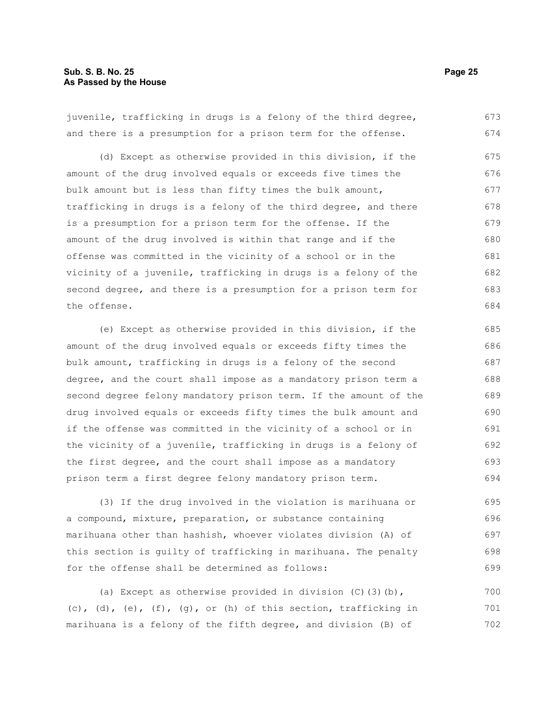juvenile, trafficking in drugs is a felony of the third degree, and there is a presumption for a prison term for the offense. 673 674

(d) Except as otherwise provided in this division, if the amount of the drug involved equals or exceeds five times the bulk amount but is less than fifty times the bulk amount, trafficking in drugs is a felony of the third degree, and there is a presumption for a prison term for the offense. If the amount of the drug involved is within that range and if the offense was committed in the vicinity of a school or in the vicinity of a juvenile, trafficking in drugs is a felony of the second degree, and there is a presumption for a prison term for the offense. 675 676 677 678 679 680 681 682 683 684

(e) Except as otherwise provided in this division, if the amount of the drug involved equals or exceeds fifty times the bulk amount, trafficking in drugs is a felony of the second degree, and the court shall impose as a mandatory prison term a second degree felony mandatory prison term. If the amount of the drug involved equals or exceeds fifty times the bulk amount and if the offense was committed in the vicinity of a school or in the vicinity of a juvenile, trafficking in drugs is a felony of the first degree, and the court shall impose as a mandatory prison term a first degree felony mandatory prison term.

(3) If the drug involved in the violation is marihuana or a compound, mixture, preparation, or substance containing marihuana other than hashish, whoever violates division (A) of this section is guilty of trafficking in marihuana. The penalty for the offense shall be determined as follows: 695 696 697 698 699

(a) Except as otherwise provided in division (C)(3)(b), (c), (d), (e), (f), (g), or (h) of this section, trafficking in marihuana is a felony of the fifth degree, and division (B) of 700 701 702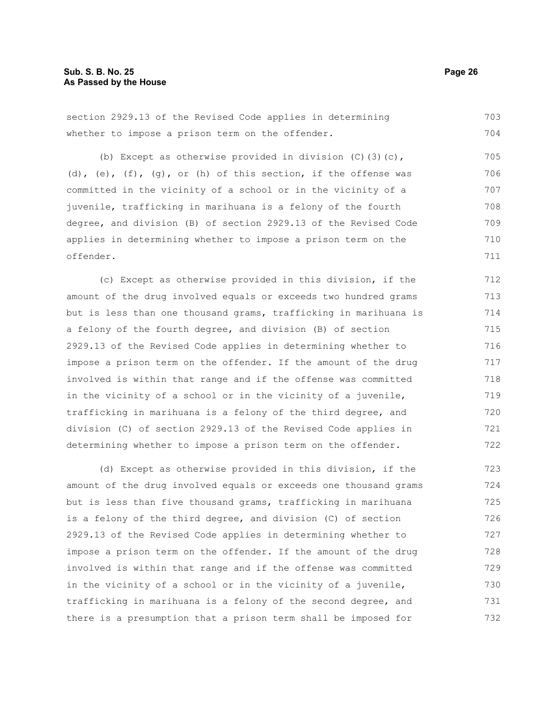section 2929.13 of the Revised Code applies in determining whether to impose a prison term on the offender. 703 704

(b) Except as otherwise provided in division (C)(3)(c), (d), (e), (f), (g), or (h) of this section, if the offense was committed in the vicinity of a school or in the vicinity of a juvenile, trafficking in marihuana is a felony of the fourth degree, and division (B) of section 2929.13 of the Revised Code applies in determining whether to impose a prison term on the offender. 705 706 707 708 709 710 711

(c) Except as otherwise provided in this division, if the amount of the drug involved equals or exceeds two hundred grams but is less than one thousand grams, trafficking in marihuana is a felony of the fourth degree, and division (B) of section 2929.13 of the Revised Code applies in determining whether to impose a prison term on the offender. If the amount of the drug involved is within that range and if the offense was committed in the vicinity of a school or in the vicinity of a juvenile, trafficking in marihuana is a felony of the third degree, and division (C) of section 2929.13 of the Revised Code applies in determining whether to impose a prison term on the offender.

(d) Except as otherwise provided in this division, if the amount of the drug involved equals or exceeds one thousand grams but is less than five thousand grams, trafficking in marihuana is a felony of the third degree, and division (C) of section 2929.13 of the Revised Code applies in determining whether to impose a prison term on the offender. If the amount of the drug involved is within that range and if the offense was committed in the vicinity of a school or in the vicinity of a juvenile, trafficking in marihuana is a felony of the second degree, and there is a presumption that a prison term shall be imposed for 723 724 725 726 727 728 729 730 731 732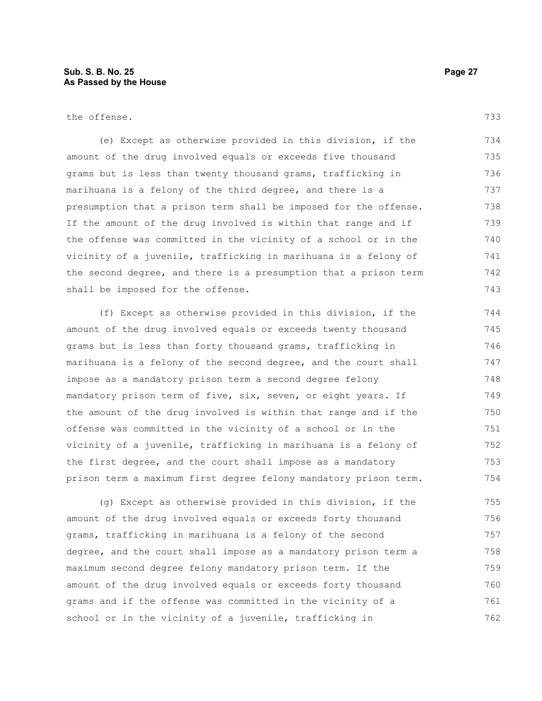(e) Except as otherwise provided in this division, if the amount of the drug involved equals or exceeds five thousand grams but is less than twenty thousand grams, trafficking in marihuana is a felony of the third degree, and there is a presumption that a prison term shall be imposed for the offense. If the amount of the drug involved is within that range and if the offense was committed in the vicinity of a school or in the vicinity of a juvenile, trafficking in marihuana is a felony of the second degree, and there is a presumption that a prison term shall be imposed for the offense. 734 735 736 737 738 739 740 741 742 743

(f) Except as otherwise provided in this division, if the amount of the drug involved equals or exceeds twenty thousand grams but is less than forty thousand grams, trafficking in marihuana is a felony of the second degree, and the court shall impose as a mandatory prison term a second degree felony mandatory prison term of five, six, seven, or eight years. If the amount of the drug involved is within that range and if the offense was committed in the vicinity of a school or in the vicinity of a juvenile, trafficking in marihuana is a felony of the first degree, and the court shall impose as a mandatory prison term a maximum first degree felony mandatory prison term. 744 745 746 747 748 749 750 751 752 753 754

(g) Except as otherwise provided in this division, if the amount of the drug involved equals or exceeds forty thousand grams, trafficking in marihuana is a felony of the second degree, and the court shall impose as a mandatory prison term a maximum second degree felony mandatory prison term. If the amount of the drug involved equals or exceeds forty thousand grams and if the offense was committed in the vicinity of a school or in the vicinity of a juvenile, trafficking in 755 756 757 758 759 760 761 762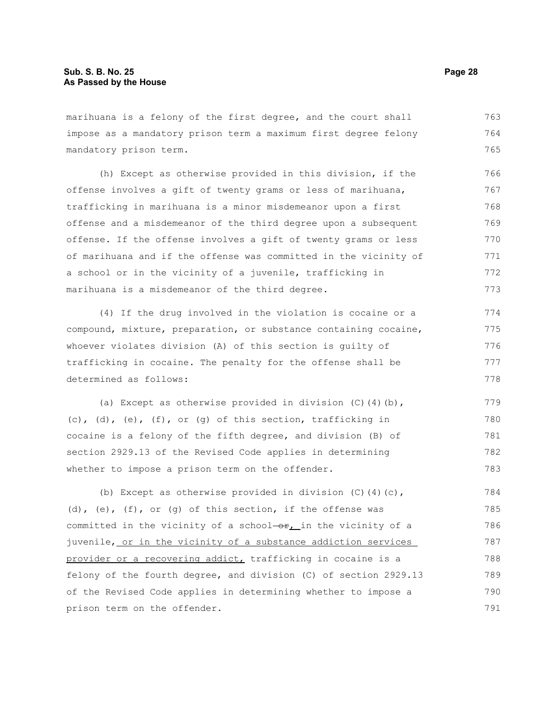marihuana is a felony of the first degree, and the court shall impose as a mandatory prison term a maximum first degree felony mandatory prison term. 763 764 765

(h) Except as otherwise provided in this division, if the offense involves a gift of twenty grams or less of marihuana, trafficking in marihuana is a minor misdemeanor upon a first offense and a misdemeanor of the third degree upon a subsequent offense. If the offense involves a gift of twenty grams or less of marihuana and if the offense was committed in the vicinity of a school or in the vicinity of a juvenile, trafficking in marihuana is a misdemeanor of the third degree. 766 767 768 769 770 771 772 773

(4) If the drug involved in the violation is cocaine or a compound, mixture, preparation, or substance containing cocaine, whoever violates division (A) of this section is guilty of trafficking in cocaine. The penalty for the offense shall be determined as follows: 774 775 776 777 778

(a) Except as otherwise provided in division (C)(4)(b), (c), (d), (e), (f), or (g) of this section, trafficking in cocaine is a felony of the fifth degree, and division (B) of section 2929.13 of the Revised Code applies in determining whether to impose a prison term on the offender. 779 780 781 782 783

(b) Except as otherwise provided in division (C)(4)(c), (d), (e),  $(f)$ , or (g) of this section, if the offense was committed in the vicinity of a school- $\sigma_{r}$  in the vicinity of a juvenile, or in the vicinity of a substance addiction services provider or a recovering addict, trafficking in cocaine is a felony of the fourth degree, and division (C) of section 2929.13 of the Revised Code applies in determining whether to impose a prison term on the offender. 784 785 786 787 788 789 790 791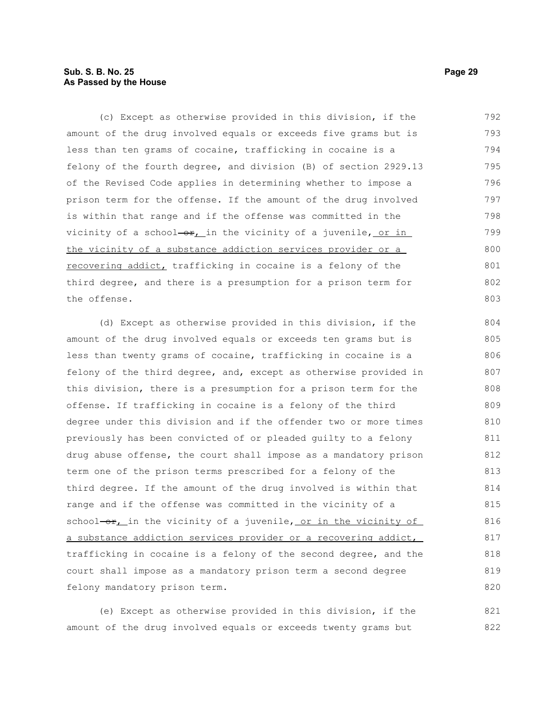#### **Sub. S. B. No. 25 Page 29 As Passed by the House**

(c) Except as otherwise provided in this division, if the amount of the drug involved equals or exceeds five grams but is less than ten grams of cocaine, trafficking in cocaine is a felony of the fourth degree, and division (B) of section 2929.13 of the Revised Code applies in determining whether to impose a prison term for the offense. If the amount of the drug involved is within that range and if the offense was committed in the vicinity of a school– $\Theta_{L}^{*}$  in the vicinity of a juvenile, or in the vicinity of a substance addiction services provider or a recovering addict, trafficking in cocaine is a felony of the third degree, and there is a presumption for a prison term for the offense. 792 793 794 795 796 797 798 799 800 801 802 803

(d) Except as otherwise provided in this division, if the amount of the drug involved equals or exceeds ten grams but is less than twenty grams of cocaine, trafficking in cocaine is a felony of the third degree, and, except as otherwise provided in this division, there is a presumption for a prison term for the offense. If trafficking in cocaine is a felony of the third degree under this division and if the offender two or more times previously has been convicted of or pleaded guilty to a felony drug abuse offense, the court shall impose as a mandatory prison term one of the prison terms prescribed for a felony of the third degree. If the amount of the drug involved is within that range and if the offense was committed in the vicinity of a school-or, in the vicinity of a juvenile, or in the vicinity of a substance addiction services provider or a recovering addict, trafficking in cocaine is a felony of the second degree, and the court shall impose as a mandatory prison term a second degree felony mandatory prison term. 804 805 806 807 808 809 810 811 812 813 814 815 816 817 818 819 820

(e) Except as otherwise provided in this division, if the amount of the drug involved equals or exceeds twenty grams but 821 822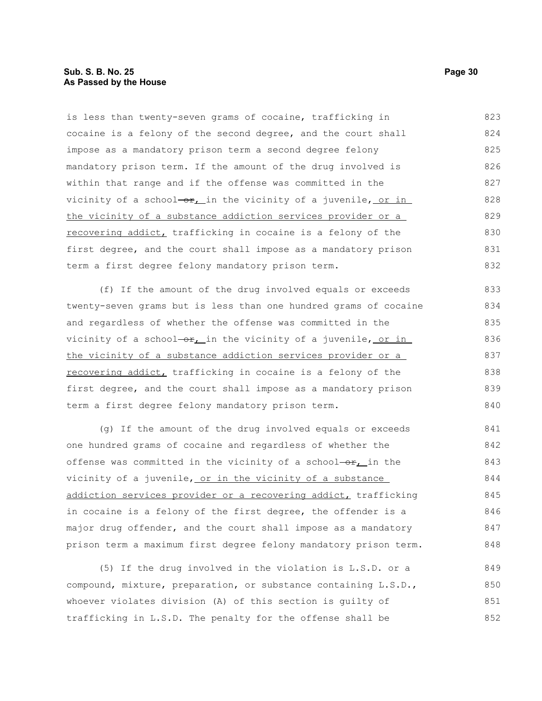#### **Sub. S. B. No. 25 Page 30 As Passed by the House**

is less than twenty-seven grams of cocaine, trafficking in cocaine is a felony of the second degree, and the court shall impose as a mandatory prison term a second degree felony mandatory prison term. If the amount of the drug involved is within that range and if the offense was committed in the vicinity of a school– $\Theta_{L}$  in the vicinity of a juvenile, or in the vicinity of a substance addiction services provider or a recovering addict, trafficking in cocaine is a felony of the first degree, and the court shall impose as a mandatory prison term a first degree felony mandatory prison term. 823 824 825 826 827 828 829 830 831 832

(f) If the amount of the drug involved equals or exceeds twenty-seven grams but is less than one hundred grams of cocaine and regardless of whether the offense was committed in the vicinity of a school– $o$ r, in the vicinity of a juvenile, or in the vicinity of a substance addiction services provider or a recovering addict, trafficking in cocaine is a felony of the first degree, and the court shall impose as a mandatory prison term a first degree felony mandatory prison term. 833 834 835 836 837 838 839 840

(g) If the amount of the drug involved equals or exceeds one hundred grams of cocaine and regardless of whether the offense was committed in the vicinity of a school- $\sigma$ <sub>r</sub> in the vicinity of a juvenile, or in the vicinity of a substance addiction services provider or a recovering addict, trafficking in cocaine is a felony of the first degree, the offender is a major drug offender, and the court shall impose as a mandatory prison term a maximum first degree felony mandatory prison term. 841 842 843 844 845 846 847 848

(5) If the drug involved in the violation is L.S.D. or a compound, mixture, preparation, or substance containing L.S.D., whoever violates division (A) of this section is guilty of trafficking in L.S.D. The penalty for the offense shall be 849 850 851 852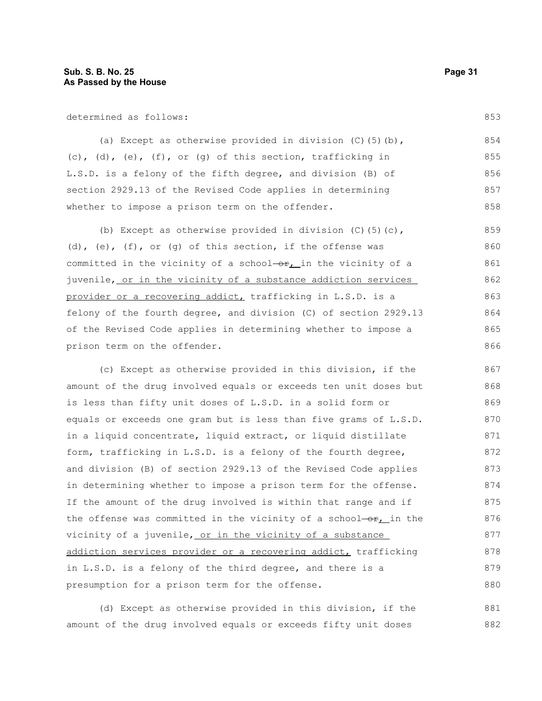determined as follows:

(a) Except as otherwise provided in division (C)(5)(b), (c), (d), (e), (f), or (g) of this section, trafficking in L.S.D. is a felony of the fifth degree, and division (B) of section 2929.13 of the Revised Code applies in determining whether to impose a prison term on the offender. 854 855 856 857 858

(b) Except as otherwise provided in division (C)(5)(c), (d), (e),  $(f)$ , or (g) of this section, if the offense was committed in the vicinity of a school- $\sigma_{r}$  in the vicinity of a juvenile, or in the vicinity of a substance addiction services provider or a recovering addict, trafficking in L.S.D. is a felony of the fourth degree, and division (C) of section 2929.13 of the Revised Code applies in determining whether to impose a prison term on the offender. 859 860 861 862 863 864 865 866

(c) Except as otherwise provided in this division, if the amount of the drug involved equals or exceeds ten unit doses but is less than fifty unit doses of L.S.D. in a solid form or equals or exceeds one gram but is less than five grams of L.S.D. in a liquid concentrate, liquid extract, or liquid distillate form, trafficking in L.S.D. is a felony of the fourth degree, and division (B) of section 2929.13 of the Revised Code applies in determining whether to impose a prison term for the offense. If the amount of the drug involved is within that range and if the offense was committed in the vicinity of a school- $or,$  in the vicinity of a juvenile, or in the vicinity of a substance addiction services provider or a recovering addict, trafficking in L.S.D. is a felony of the third degree, and there is a presumption for a prison term for the offense. 867 868 869 870 871 872 873 874 875 876 877 878 879 880

(d) Except as otherwise provided in this division, if the amount of the drug involved equals or exceeds fifty unit doses 881 882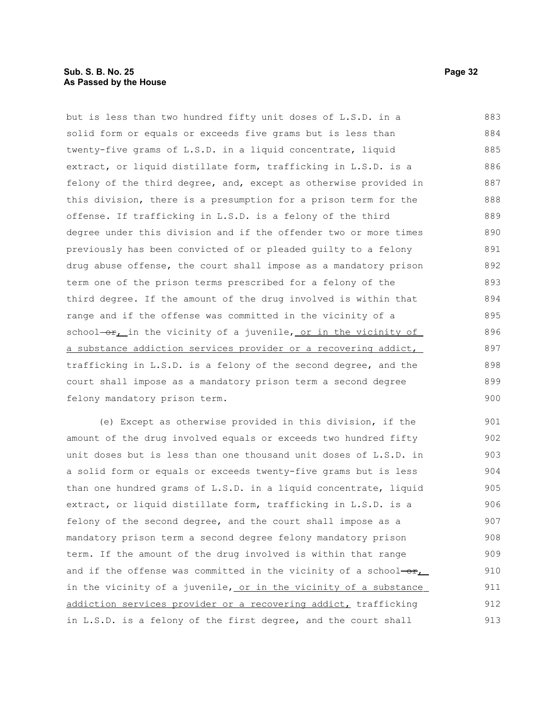#### **Sub. S. B. No. 25 Page 32 As Passed by the House**

but is less than two hundred fifty unit doses of L.S.D. in a solid form or equals or exceeds five grams but is less than twenty-five grams of L.S.D. in a liquid concentrate, liquid extract, or liquid distillate form, trafficking in L.S.D. is a felony of the third degree, and, except as otherwise provided in this division, there is a presumption for a prison term for the offense. If trafficking in L.S.D. is a felony of the third degree under this division and if the offender two or more times previously has been convicted of or pleaded guilty to a felony drug abuse offense, the court shall impose as a mandatory prison term one of the prison terms prescribed for a felony of the third degree. If the amount of the drug involved is within that range and if the offense was committed in the vicinity of a school-or, in the vicinity of a juvenile, or in the vicinity of a substance addiction services provider or a recovering addict, trafficking in L.S.D. is a felony of the second degree, and the court shall impose as a mandatory prison term a second degree felony mandatory prison term. 883 884 885 886 887 888 889 890 891 892 893 894 895 896 897 898 899 900

(e) Except as otherwise provided in this division, if the amount of the drug involved equals or exceeds two hundred fifty unit doses but is less than one thousand unit doses of L.S.D. in a solid form or equals or exceeds twenty-five grams but is less than one hundred grams of L.S.D. in a liquid concentrate, liquid extract, or liquid distillate form, trafficking in L.S.D. is a felony of the second degree, and the court shall impose as a mandatory prison term a second degree felony mandatory prison term. If the amount of the drug involved is within that range and if the offense was committed in the vicinity of a school- $\Theta$ r, in the vicinity of a juvenile, or in the vicinity of a substance addiction services provider or a recovering addict, trafficking in L.S.D. is a felony of the first degree, and the court shall 901 902 903 904 905 906 907 908 909 910 911 912 913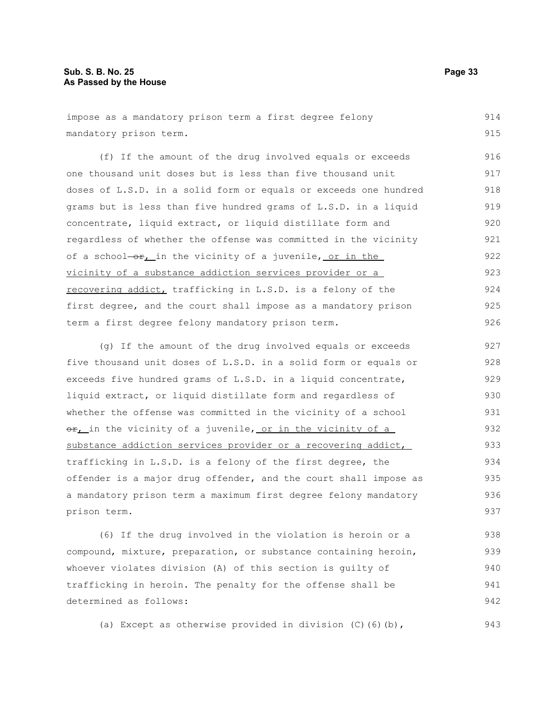(f) If the amount of the drug involved equals or exceeds one thousand unit doses but is less than five thousand unit doses of L.S.D. in a solid form or equals or exceeds one hundred grams but is less than five hundred grams of L.S.D. in a liquid concentrate, liquid extract, or liquid distillate form and regardless of whether the offense was committed in the vicinity of a school- $\sigma r$ , in the vicinity of a juvenile, or in the vicinity of a substance addiction services provider or a recovering addict, trafficking in L.S.D. is a felony of the first degree, and the court shall impose as a mandatory prison term a first degree felony mandatory prison term. 916 917 918 919 920 921 922 923 924 925 926

(g) If the amount of the drug involved equals or exceeds five thousand unit doses of L.S.D. in a solid form or equals or exceeds five hundred grams of L.S.D. in a liquid concentrate, liquid extract, or liquid distillate form and regardless of whether the offense was committed in the vicinity of a school or, in the vicinity of a juvenile, or in the vicinity of a substance addiction services provider or a recovering addict, trafficking in L.S.D. is a felony of the first degree, the offender is a major drug offender, and the court shall impose as a mandatory prison term a maximum first degree felony mandatory prison term. 927 928 929 930 931 932 933 934 935 936 937

(6) If the drug involved in the violation is heroin or a compound, mixture, preparation, or substance containing heroin, whoever violates division (A) of this section is guilty of trafficking in heroin. The penalty for the offense shall be determined as follows: 938 939 940 941 942

(a) Except as otherwise provided in division  $(C)$  (6)(b),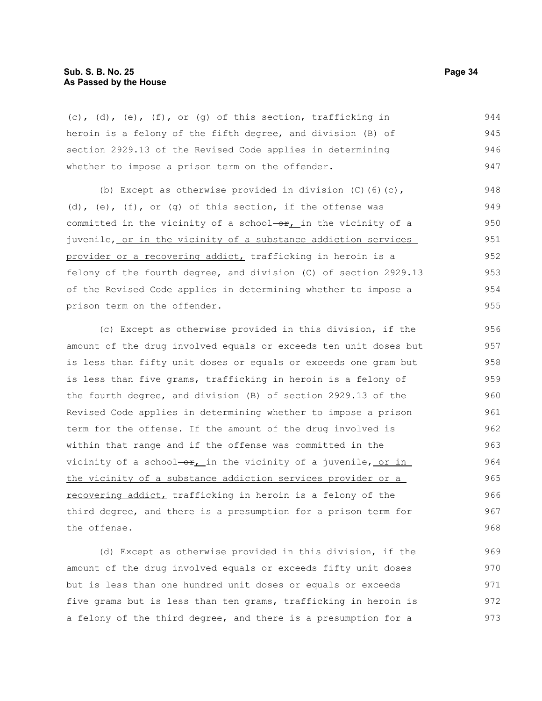#### **Sub. S. B. No. 25 Page 34 As Passed by the House**

(c), (d), (e), (f), or (g) of this section, trafficking in heroin is a felony of the fifth degree, and division (B) of section 2929.13 of the Revised Code applies in determining whether to impose a prison term on the offender. 944 945 946 947

(b) Except as otherwise provided in division (C)(6)(c), (d), (e),  $(f)$ , or (q) of this section, if the offense was committed in the vicinity of a school- $or,$  in the vicinity of a juvenile, or in the vicinity of a substance addiction services provider or a recovering addict, trafficking in heroin is a felony of the fourth degree, and division (C) of section 2929.13 of the Revised Code applies in determining whether to impose a prison term on the offender. 948 949 950 951 952 953 954 955

(c) Except as otherwise provided in this division, if the amount of the drug involved equals or exceeds ten unit doses but is less than fifty unit doses or equals or exceeds one gram but is less than five grams, trafficking in heroin is a felony of the fourth degree, and division (B) of section 2929.13 of the Revised Code applies in determining whether to impose a prison term for the offense. If the amount of the drug involved is within that range and if the offense was committed in the vicinity of a school– $\Theta_{L}$  in the vicinity of a juvenile, or in the vicinity of a substance addiction services provider or a recovering addict, trafficking in heroin is a felony of the third degree, and there is a presumption for a prison term for the offense.

(d) Except as otherwise provided in this division, if the amount of the drug involved equals or exceeds fifty unit doses but is less than one hundred unit doses or equals or exceeds five grams but is less than ten grams, trafficking in heroin is a felony of the third degree, and there is a presumption for a 969 970 971 972 973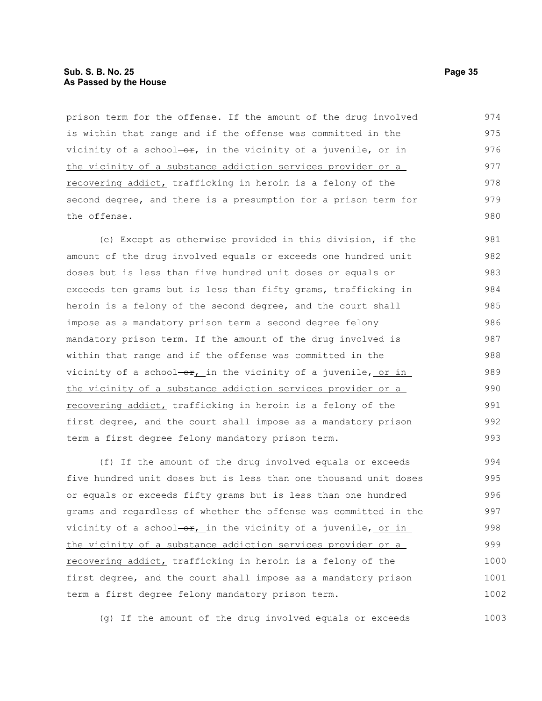#### **Sub. S. B. No. 25 Page 35 As Passed by the House**

prison term for the offense. If the amount of the drug involved is within that range and if the offense was committed in the vicinity of a school– $o$ r, in the vicinity of a juvenile, or in the vicinity of a substance addiction services provider or a recovering addict, trafficking in heroin is a felony of the second degree, and there is a presumption for a prison term for the offense. 974 975 976 977 978 979 980

(e) Except as otherwise provided in this division, if the amount of the drug involved equals or exceeds one hundred unit doses but is less than five hundred unit doses or equals or exceeds ten grams but is less than fifty grams, trafficking in heroin is a felony of the second degree, and the court shall impose as a mandatory prison term a second degree felony mandatory prison term. If the amount of the drug involved is within that range and if the offense was committed in the vicinity of a school- $\sigma_{r}$  in the vicinity of a juvenile, or in the vicinity of a substance addiction services provider or a recovering addict, trafficking in heroin is a felony of the first degree, and the court shall impose as a mandatory prison term a first degree felony mandatory prison term. 981 982 983 984 985 986 987 988 989 990 991 992 993

(f) If the amount of the drug involved equals or exceeds five hundred unit doses but is less than one thousand unit doses or equals or exceeds fifty grams but is less than one hundred grams and regardless of whether the offense was committed in the vicinity of a school– $o$ r, in the vicinity of a juvenile, or in the vicinity of a substance addiction services provider or a recovering addict, trafficking in heroin is a felony of the first degree, and the court shall impose as a mandatory prison term a first degree felony mandatory prison term. 994 995 996 997 998 999 1000 1001 1002

(g) If the amount of the drug involved equals or exceeds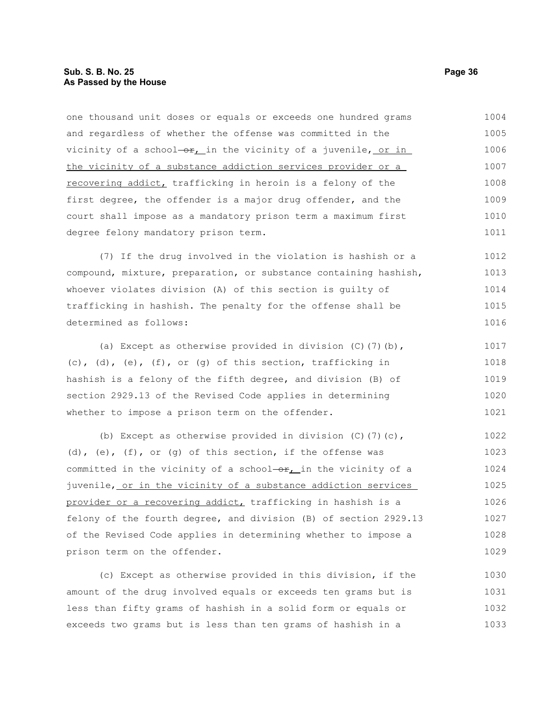#### **Sub. S. B. No. 25 Page 36 As Passed by the House**

one thousand unit doses or equals or exceeds one hundred grams and regardless of whether the offense was committed in the vicinity of a school– $\Theta$ <sub>r</sub> in the vicinity of a juvenile, <u>or in</u> the vicinity of a substance addiction services provider or a recovering addict, trafficking in heroin is a felony of the first degree, the offender is a major drug offender, and the court shall impose as a mandatory prison term a maximum first degree felony mandatory prison term. (7) If the drug involved in the violation is hashish or a compound, mixture, preparation, or substance containing hashish, whoever violates division (A) of this section is guilty of trafficking in hashish. The penalty for the offense shall be determined as follows: (a) Except as otherwise provided in division (C)(7)(b), (c), (d), (e),  $(f)$ , or (q) of this section, trafficking in hashish is a felony of the fifth degree, and division (B) of section 2929.13 of the Revised Code applies in determining whether to impose a prison term on the offender. (b) Except as otherwise provided in division (C)(7)(c), (d), (e), (f), or (g) of this section, if the offense was committed in the vicinity of a school–or, in the vicinity of a juvenile, or in the vicinity of a substance addiction services provider or a recovering addict, trafficking in hashish is a felony of the fourth degree, and division (B) of section 2929.13 of the Revised Code applies in determining whether to impose a prison term on the offender. 1004 1005 1006 1007 1008 1009 1010 1011 1012 1013 1014 1015 1016 1017 1018 1019 1020 1021 1022 1023 1024 1025 1026 1027 1028 1029

(c) Except as otherwise provided in this division, if the amount of the drug involved equals or exceeds ten grams but is less than fifty grams of hashish in a solid form or equals or exceeds two grams but is less than ten grams of hashish in a 1030 1031 1032 1033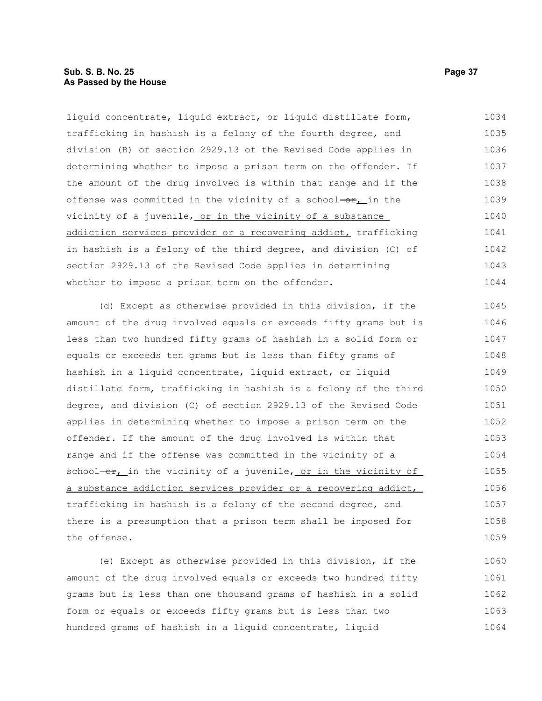#### **Sub. S. B. No. 25 Page 37 As Passed by the House**

liquid concentrate, liquid extract, or liquid distillate form, trafficking in hashish is a felony of the fourth degree, and division (B) of section 2929.13 of the Revised Code applies in determining whether to impose a prison term on the offender. If the amount of the drug involved is within that range and if the offense was committed in the vicinity of a school- $or,$  in the vicinity of a juvenile, or in the vicinity of a substance addiction services provider or a recovering addict, trafficking in hashish is a felony of the third degree, and division (C) of section 2929.13 of the Revised Code applies in determining whether to impose a prison term on the offender. 1034 1035 1036 1037 1038 1039 1040 1041 1042 1043 1044

(d) Except as otherwise provided in this division, if the amount of the drug involved equals or exceeds fifty grams but is less than two hundred fifty grams of hashish in a solid form or equals or exceeds ten grams but is less than fifty grams of hashish in a liquid concentrate, liquid extract, or liquid distillate form, trafficking in hashish is a felony of the third degree, and division (C) of section 2929.13 of the Revised Code applies in determining whether to impose a prison term on the offender. If the amount of the drug involved is within that range and if the offense was committed in the vicinity of a school-or, in the vicinity of a juvenile, or in the vicinity of a substance addiction services provider or a recovering addict, trafficking in hashish is a felony of the second degree, and there is a presumption that a prison term shall be imposed for the offense. 1045 1046 1047 1048 1049 1050 1051 1052 1053 1054 1055 1056 1057 1058 1059

(e) Except as otherwise provided in this division, if the amount of the drug involved equals or exceeds two hundred fifty grams but is less than one thousand grams of hashish in a solid form or equals or exceeds fifty grams but is less than two hundred grams of hashish in a liquid concentrate, liquid 1060 1061 1062 1063 1064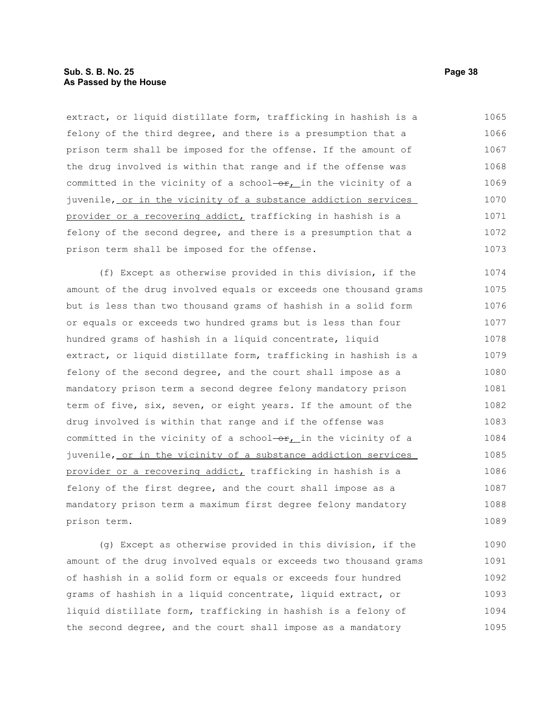#### **Sub. S. B. No. 25 Page 38 As Passed by the House**

extract, or liquid distillate form, trafficking in hashish is a felony of the third degree, and there is a presumption that a prison term shall be imposed for the offense. If the amount of the drug involved is within that range and if the offense was committed in the vicinity of a school- $\Theta$ <sub>r</sub> in the vicinity of a juvenile, or in the vicinity of a substance addiction services provider or a recovering addict, trafficking in hashish is a felony of the second degree, and there is a presumption that a prison term shall be imposed for the offense. 1065 1066 1067 1068 1069 1070 1071 1072 1073

(f) Except as otherwise provided in this division, if the amount of the drug involved equals or exceeds one thousand grams but is less than two thousand grams of hashish in a solid form or equals or exceeds two hundred grams but is less than four hundred grams of hashish in a liquid concentrate, liquid extract, or liquid distillate form, trafficking in hashish is a felony of the second degree, and the court shall impose as a mandatory prison term a second degree felony mandatory prison term of five, six, seven, or eight years. If the amount of the drug involved is within that range and if the offense was committed in the vicinity of a school- $or$ , in the vicinity of a juvenile, or in the vicinity of a substance addiction services provider or a recovering addict, trafficking in hashish is a felony of the first degree, and the court shall impose as a mandatory prison term a maximum first degree felony mandatory prison term. 1074 1075 1076 1077 1078 1079 1080 1081 1082 1083 1084 1085 1086 1087 1088 1089

(g) Except as otherwise provided in this division, if the amount of the drug involved equals or exceeds two thousand grams of hashish in a solid form or equals or exceeds four hundred grams of hashish in a liquid concentrate, liquid extract, or liquid distillate form, trafficking in hashish is a felony of the second degree, and the court shall impose as a mandatory 1090 1091 1092 1093 1094 1095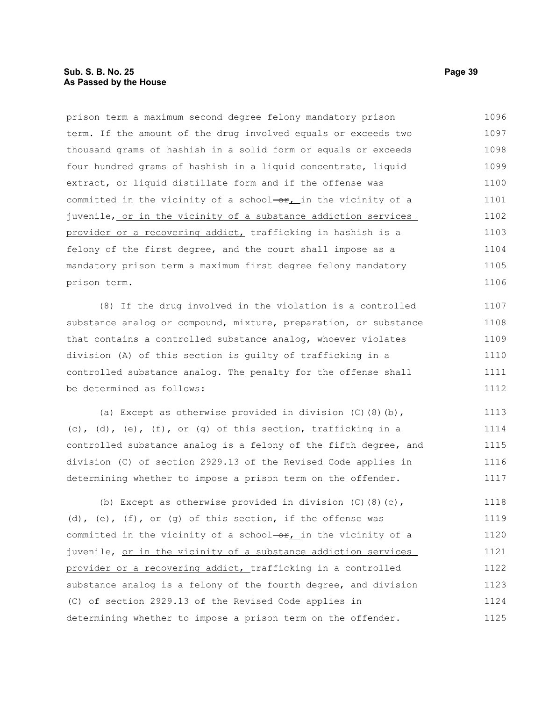#### **Sub. S. B. No. 25 Page 39 As Passed by the House**

prison term a maximum second degree felony mandatory prison term. If the amount of the drug involved equals or exceeds two thousand grams of hashish in a solid form or equals or exceeds four hundred grams of hashish in a liquid concentrate, liquid extract, or liquid distillate form and if the offense was committed in the vicinity of a school- $or$ , in the vicinity of a juvenile, or in the vicinity of a substance addiction services provider or a recovering addict, trafficking in hashish is a felony of the first degree, and the court shall impose as a mandatory prison term a maximum first degree felony mandatory prison term. 1096 1097 1098 1099 1100 1101 1102 1103 1104 1105 1106

(8) If the drug involved in the violation is a controlled substance analog or compound, mixture, preparation, or substance that contains a controlled substance analog, whoever violates division (A) of this section is guilty of trafficking in a controlled substance analog. The penalty for the offense shall be determined as follows: 1107 1108 1109 1110 1111 1112

(a) Except as otherwise provided in division (C)(8)(b), (c), (d), (e), (f), or (g) of this section, trafficking in a controlled substance analog is a felony of the fifth degree, and division (C) of section 2929.13 of the Revised Code applies in determining whether to impose a prison term on the offender. 1113 1114 1115 1116 1117

(b) Except as otherwise provided in division (C)(8)(c), (d), (e),  $(f)$ , or (q) of this section, if the offense was committed in the vicinity of a school–or, in the vicinity of a juvenile, or in the vicinity of a substance addiction services provider or a recovering addict, trafficking in a controlled substance analog is a felony of the fourth degree, and division (C) of section 2929.13 of the Revised Code applies in determining whether to impose a prison term on the offender. 1118 1119 1120 1121 1122 1123 1124 1125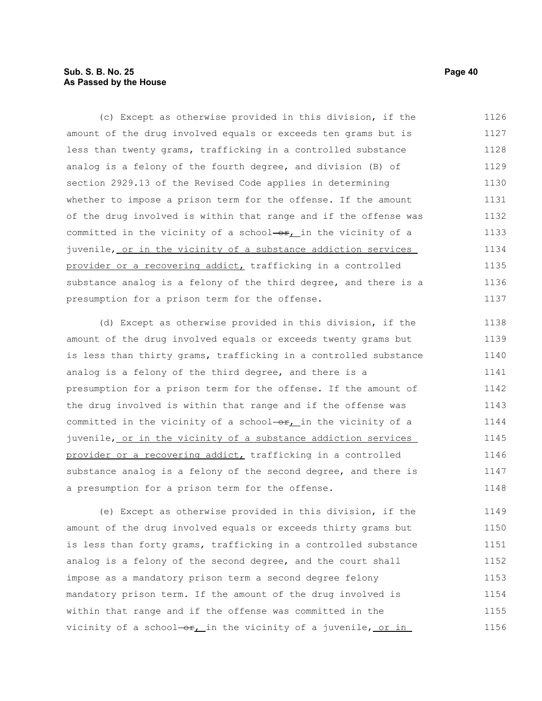#### **Sub. S. B. No. 25 Page 40 As Passed by the House**

(c) Except as otherwise provided in this division, if the amount of the drug involved equals or exceeds ten grams but is less than twenty grams, trafficking in a controlled substance analog is a felony of the fourth degree, and division (B) of section 2929.13 of the Revised Code applies in determining whether to impose a prison term for the offense. If the amount of the drug involved is within that range and if the offense was committed in the vicinity of a school- $o$ r, in the vicinity of a juvenile, or in the vicinity of a substance addiction services provider or a recovering addict, trafficking in a controlled substance analog is a felony of the third degree, and there is a presumption for a prison term for the offense. 1126 1127 1128 1129 1130 1131 1132 1133 1134 1135 1136 1137

(d) Except as otherwise provided in this division, if the amount of the drug involved equals or exceeds twenty grams but is less than thirty grams, trafficking in a controlled substance analog is a felony of the third degree, and there is a presumption for a prison term for the offense. If the amount of the drug involved is within that range and if the offense was committed in the vicinity of a school- $\Theta$ <sub>r</sub> in the vicinity of a juvenile, or in the vicinity of a substance addiction services provider or a recovering addict, trafficking in a controlled substance analog is a felony of the second degree, and there is a presumption for a prison term for the offense. 1138 1139 1140 1141 1142 1143 1144 1145 1146 1147 1148

(e) Except as otherwise provided in this division, if the amount of the drug involved equals or exceeds thirty grams but is less than forty grams, trafficking in a controlled substance analog is a felony of the second degree, and the court shall impose as a mandatory prison term a second degree felony mandatory prison term. If the amount of the drug involved is within that range and if the offense was committed in the vicinity of a school– $\Theta$ <sub>r</sub>, in the vicinity of a juvenile, or in 1149 1150 1151 1152 1153 1154 1155 1156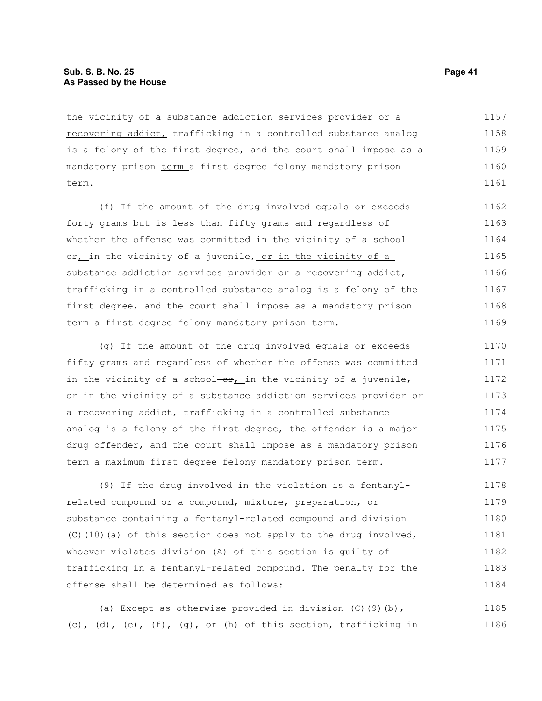the vicinity of a substance addiction services provider or a recovering addict, trafficking in a controlled substance analog is a felony of the first degree, and the court shall impose as a mandatory prison term a first degree felony mandatory prison term. 1157 1158 1159 1160 1161

(f) If the amount of the drug involved equals or exceeds forty grams but is less than fifty grams and regardless of whether the offense was committed in the vicinity of a school or, in the vicinity of a juvenile, or in the vicinity of a substance addiction services provider or a recovering addict, trafficking in a controlled substance analog is a felony of the first degree, and the court shall impose as a mandatory prison term a first degree felony mandatory prison term. 1162 1163 1164 1165 1166 1167 1168 1169

(g) If the amount of the drug involved equals or exceeds fifty grams and regardless of whether the offense was committed in the vicinity of a school– $\Theta r$ , in the vicinity of a juvenile, or in the vicinity of a substance addiction services provider or a recovering addict, trafficking in a controlled substance analog is a felony of the first degree, the offender is a major drug offender, and the court shall impose as a mandatory prison term a maximum first degree felony mandatory prison term. 1170 1171 1172 1173 1174 1175 1176 1177

(9) If the drug involved in the violation is a fentanylrelated compound or a compound, mixture, preparation, or substance containing a fentanyl-related compound and division (C)(10)(a) of this section does not apply to the drug involved, whoever violates division (A) of this section is guilty of trafficking in a fentanyl-related compound. The penalty for the offense shall be determined as follows: 1178 1179 1180 1181 1182 1183 1184

(a) Except as otherwise provided in division (C)(9)(b), (c), (d), (e), (f), (q), or (h) of this section, trafficking in 1185 1186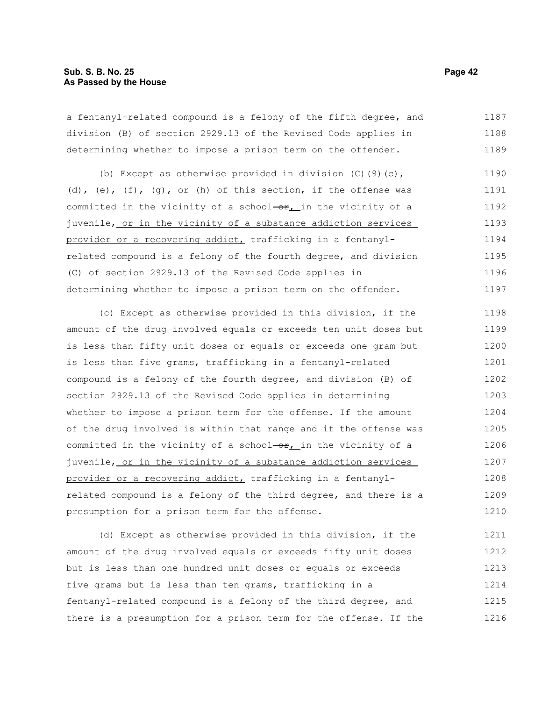a fentanyl-related compound is a felony of the fifth degree, and division (B) of section 2929.13 of the Revised Code applies in determining whether to impose a prison term on the offender. 1187 1188 1189

(b) Except as otherwise provided in division (C)(9)(c), (d), (e),  $(f)$ ,  $(g)$ , or (h) of this section, if the offense was committed in the vicinity of a school- $\Theta$ r, in the vicinity of a juvenile, or in the vicinity of a substance addiction services provider or a recovering addict, trafficking in a fentanylrelated compound is a felony of the fourth degree, and division (C) of section 2929.13 of the Revised Code applies in determining whether to impose a prison term on the offender. 1190 1191 1192 1193 1194 1195 1196 1197

(c) Except as otherwise provided in this division, if the amount of the drug involved equals or exceeds ten unit doses but is less than fifty unit doses or equals or exceeds one gram but is less than five grams, trafficking in a fentanyl-related compound is a felony of the fourth degree, and division (B) of section 2929.13 of the Revised Code applies in determining whether to impose a prison term for the offense. If the amount of the drug involved is within that range and if the offense was committed in the vicinity of a school- $o$ r, in the vicinity of a juvenile, or in the vicinity of a substance addiction services provider or a recovering addict, trafficking in a fentanylrelated compound is a felony of the third degree, and there is a presumption for a prison term for the offense. 1198 1199 1200 1201 1202 1203 1204 1205 1206 1207 1208 1209 1210

(d) Except as otherwise provided in this division, if the amount of the drug involved equals or exceeds fifty unit doses but is less than one hundred unit doses or equals or exceeds five grams but is less than ten grams, trafficking in a fentanyl-related compound is a felony of the third degree, and there is a presumption for a prison term for the offense. If the 1211 1212 1213 1214 1215 1216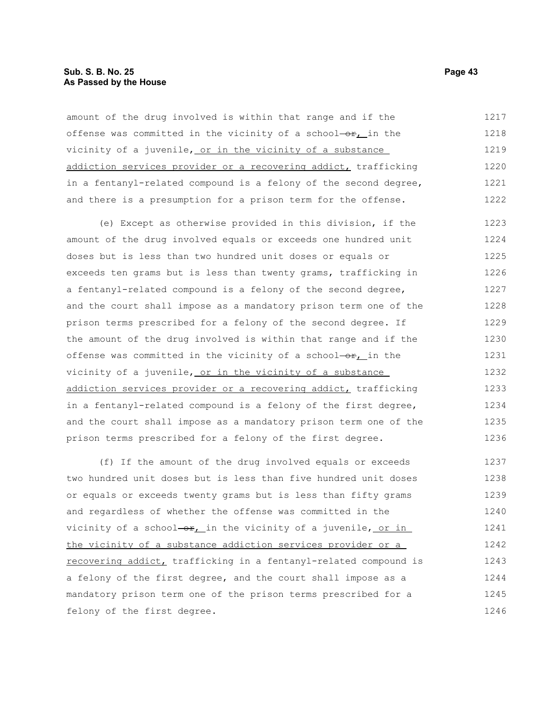#### **Sub. S. B. No. 25 Page 43 As Passed by the House**

amount of the drug involved is within that range and if the offense was committed in the vicinity of a school- $\Theta$ r, in the vicinity of a juvenile, or in the vicinity of a substance addiction services provider or a recovering addict, trafficking in a fentanyl-related compound is a felony of the second degree, and there is a presumption for a prison term for the offense. 1217 1218 1219 1220 1221 1222

(e) Except as otherwise provided in this division, if the amount of the drug involved equals or exceeds one hundred unit doses but is less than two hundred unit doses or equals or exceeds ten grams but is less than twenty grams, trafficking in a fentanyl-related compound is a felony of the second degree, and the court shall impose as a mandatory prison term one of the prison terms prescribed for a felony of the second degree. If the amount of the drug involved is within that range and if the offense was committed in the vicinity of a school- $or,$  in the vicinity of a juvenile, or in the vicinity of a substance addiction services provider or a recovering addict, trafficking in a fentanyl-related compound is a felony of the first degree, and the court shall impose as a mandatory prison term one of the prison terms prescribed for a felony of the first degree. 1223 1224 1225 1226 1227 1228 1229 1230 1231 1232 1233 1234 1235 1236

(f) If the amount of the drug involved equals or exceeds two hundred unit doses but is less than five hundred unit doses or equals or exceeds twenty grams but is less than fifty grams and regardless of whether the offense was committed in the vicinity of a school– $o$ r, in the vicinity of a juvenile, or in the vicinity of a substance addiction services provider or a recovering addict, trafficking in a fentanyl-related compound is a felony of the first degree, and the court shall impose as a mandatory prison term one of the prison terms prescribed for a felony of the first degree. 1237 1238 1239 1240 1241 1242 1243 1244 1245 1246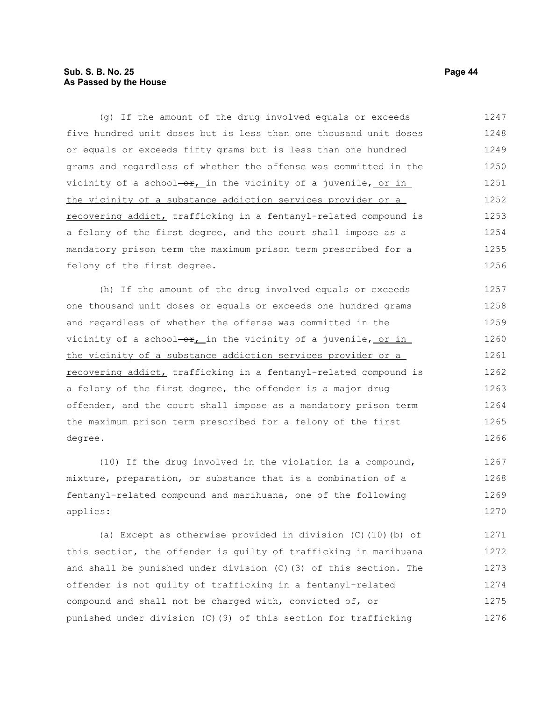#### **Sub. S. B. No. 25 Page 44 As Passed by the House**

(g) If the amount of the drug involved equals or exceeds five hundred unit doses but is less than one thousand unit doses or equals or exceeds fifty grams but is less than one hundred grams and regardless of whether the offense was committed in the vicinity of a school– $\Theta_{L}$  in the vicinity of a juvenile, or in the vicinity of a substance addiction services provider or a recovering addict, trafficking in a fentanyl-related compound is a felony of the first degree, and the court shall impose as a mandatory prison term the maximum prison term prescribed for a felony of the first degree. 1247 1248 1249 1250 1251 1252 1253 1254 1255 1256

(h) If the amount of the drug involved equals or exceeds one thousand unit doses or equals or exceeds one hundred grams and regardless of whether the offense was committed in the vicinity of a school– $o$ r, in the vicinity of a juvenile, or in the vicinity of a substance addiction services provider or a recovering addict, trafficking in a fentanyl-related compound is a felony of the first degree, the offender is a major drug offender, and the court shall impose as a mandatory prison term the maximum prison term prescribed for a felony of the first degree. 1257 1258 1259 1260 1261 1262 1263 1264 1265 1266

(10) If the drug involved in the violation is a compound, mixture, preparation, or substance that is a combination of a fentanyl-related compound and marihuana, one of the following applies: 1267 1268 1269 1270

(a) Except as otherwise provided in division (C)(10)(b) of this section, the offender is guilty of trafficking in marihuana and shall be punished under division (C)(3) of this section. The offender is not guilty of trafficking in a fentanyl-related compound and shall not be charged with, convicted of, or punished under division (C)(9) of this section for trafficking 1271 1272 1273 1274 1275 1276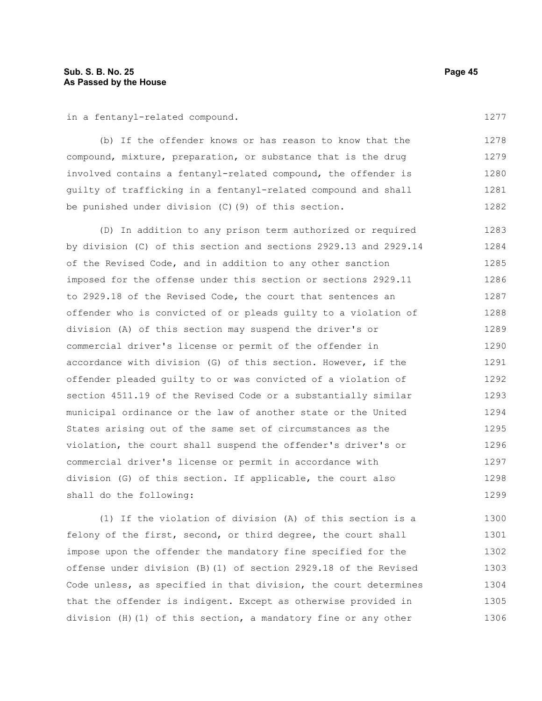in a fentanyl-related compound.

(b) If the offender knows or has reason to know that the compound, mixture, preparation, or substance that is the drug involved contains a fentanyl-related compound, the offender is guilty of trafficking in a fentanyl-related compound and shall be punished under division (C)(9) of this section. 1278 1279 1280 1281 1282

(D) In addition to any prison term authorized or required by division (C) of this section and sections 2929.13 and 2929.14 of the Revised Code, and in addition to any other sanction imposed for the offense under this section or sections 2929.11 to 2929.18 of the Revised Code, the court that sentences an offender who is convicted of or pleads guilty to a violation of division (A) of this section may suspend the driver's or commercial driver's license or permit of the offender in accordance with division (G) of this section. However, if the offender pleaded guilty to or was convicted of a violation of section 4511.19 of the Revised Code or a substantially similar municipal ordinance or the law of another state or the United States arising out of the same set of circumstances as the violation, the court shall suspend the offender's driver's or commercial driver's license or permit in accordance with division (G) of this section. If applicable, the court also shall do the following: 1283 1284 1285 1286 1287 1288 1289 1290 1291 1292 1293 1294 1295 1296 1297 1298 1299

(1) If the violation of division (A) of this section is a felony of the first, second, or third degree, the court shall impose upon the offender the mandatory fine specified for the offense under division (B)(1) of section 2929.18 of the Revised Code unless, as specified in that division, the court determines that the offender is indigent. Except as otherwise provided in division (H)(1) of this section, a mandatory fine or any other 1300 1301 1302 1303 1304 1305 1306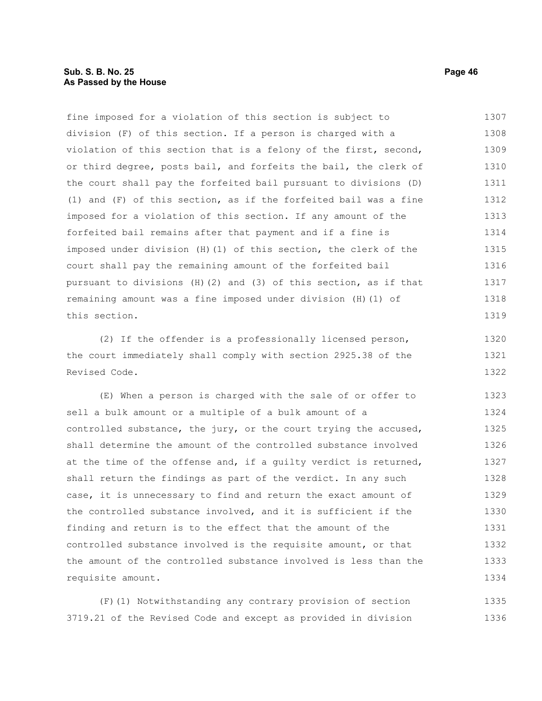#### **Sub. S. B. No. 25 Page 46 As Passed by the House**

fine imposed for a violation of this section is subject to division (F) of this section. If a person is charged with a violation of this section that is a felony of the first, second, or third degree, posts bail, and forfeits the bail, the clerk of the court shall pay the forfeited bail pursuant to divisions (D) (1) and (F) of this section, as if the forfeited bail was a fine imposed for a violation of this section. If any amount of the forfeited bail remains after that payment and if a fine is imposed under division  $(H)(1)$  of this section, the clerk of the court shall pay the remaining amount of the forfeited bail pursuant to divisions (H)(2) and (3) of this section, as if that remaining amount was a fine imposed under division (H)(1) of this section. 1307 1308 1309 1310 1311 1312 1313 1314 1315 1316 1317 1318 1319

(2) If the offender is a professionally licensed person, the court immediately shall comply with section 2925.38 of the Revised Code.

(E) When a person is charged with the sale of or offer to sell a bulk amount or a multiple of a bulk amount of a controlled substance, the jury, or the court trying the accused, shall determine the amount of the controlled substance involved at the time of the offense and, if a guilty verdict is returned, shall return the findings as part of the verdict. In any such case, it is unnecessary to find and return the exact amount of the controlled substance involved, and it is sufficient if the finding and return is to the effect that the amount of the controlled substance involved is the requisite amount, or that the amount of the controlled substance involved is less than the requisite amount. 1323 1324 1325 1326 1327 1328 1329 1330 1331 1332 1333 1334

(F)(1) Notwithstanding any contrary provision of section 3719.21 of the Revised Code and except as provided in division 1335 1336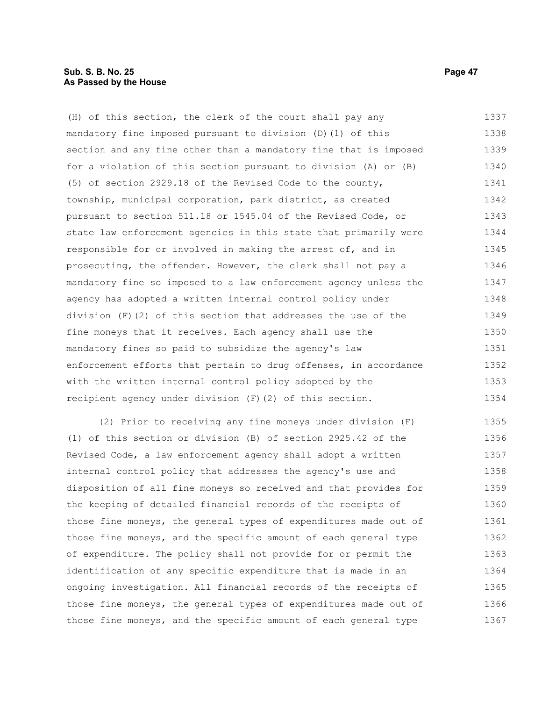#### **Sub. S. B. No. 25 Page 47 As Passed by the House**

(H) of this section, the clerk of the court shall pay any mandatory fine imposed pursuant to division (D)(1) of this section and any fine other than a mandatory fine that is imposed for a violation of this section pursuant to division (A) or (B) (5) of section 2929.18 of the Revised Code to the county, township, municipal corporation, park district, as created pursuant to section 511.18 or 1545.04 of the Revised Code, or state law enforcement agencies in this state that primarily were responsible for or involved in making the arrest of, and in prosecuting, the offender. However, the clerk shall not pay a mandatory fine so imposed to a law enforcement agency unless the agency has adopted a written internal control policy under division (F)(2) of this section that addresses the use of the fine moneys that it receives. Each agency shall use the mandatory fines so paid to subsidize the agency's law enforcement efforts that pertain to drug offenses, in accordance with the written internal control policy adopted by the recipient agency under division (F)(2) of this section. 1337 1338 1339 1340 1341 1342 1343 1344 1345 1346 1347 1348 1349 1350 1351 1352 1353 1354

(2) Prior to receiving any fine moneys under division (F) (1) of this section or division (B) of section 2925.42 of the Revised Code, a law enforcement agency shall adopt a written internal control policy that addresses the agency's use and disposition of all fine moneys so received and that provides for the keeping of detailed financial records of the receipts of those fine moneys, the general types of expenditures made out of those fine moneys, and the specific amount of each general type of expenditure. The policy shall not provide for or permit the identification of any specific expenditure that is made in an ongoing investigation. All financial records of the receipts of those fine moneys, the general types of expenditures made out of those fine moneys, and the specific amount of each general type 1355 1356 1357 1358 1359 1360 1361 1362 1363 1364 1365 1366 1367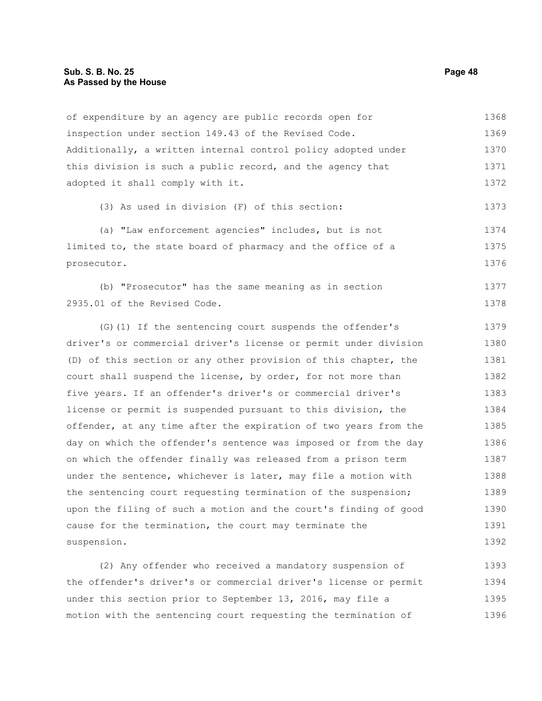of expenditure by an agency are public records open for inspection under section 149.43 of the Revised Code. Additionally, a written internal control policy adopted under this division is such a public record, and the agency that adopted it shall comply with it. 1368 1369 1370 1371 1372

(3) As used in division (F) of this section: 1373

(a) "Law enforcement agencies" includes, but is not limited to, the state board of pharmacy and the office of a prosecutor. 1374 1375 1376

(b) "Prosecutor" has the same meaning as in section 2935.01 of the Revised Code. 1377 1378

(G)(1) If the sentencing court suspends the offender's driver's or commercial driver's license or permit under division (D) of this section or any other provision of this chapter, the court shall suspend the license, by order, for not more than five years. If an offender's driver's or commercial driver's license or permit is suspended pursuant to this division, the offender, at any time after the expiration of two years from the day on which the offender's sentence was imposed or from the day on which the offender finally was released from a prison term under the sentence, whichever is later, may file a motion with the sentencing court requesting termination of the suspension; upon the filing of such a motion and the court's finding of good cause for the termination, the court may terminate the suspension. 1379 1380 1381 1382 1383 1384 1385 1386 1387 1388 1389 1390 1391 1392

(2) Any offender who received a mandatory suspension of the offender's driver's or commercial driver's license or permit under this section prior to September 13, 2016, may file a motion with the sentencing court requesting the termination of 1393 1394 1395 1396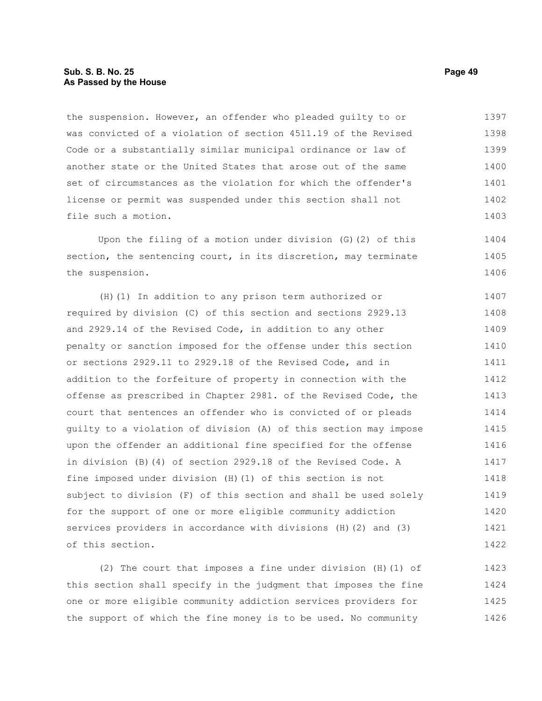the suspension. However, an offender who pleaded guilty to or was convicted of a violation of section 4511.19 of the Revised Code or a substantially similar municipal ordinance or law of another state or the United States that arose out of the same set of circumstances as the violation for which the offender's license or permit was suspended under this section shall not file such a motion. 1397 1398 1399 1400 1401 1402 1403

Upon the filing of a motion under division (G)(2) of this section, the sentencing court, in its discretion, may terminate the suspension. 1404 1405 1406

(H)(1) In addition to any prison term authorized or required by division (C) of this section and sections 2929.13 and 2929.14 of the Revised Code, in addition to any other penalty or sanction imposed for the offense under this section or sections 2929.11 to 2929.18 of the Revised Code, and in addition to the forfeiture of property in connection with the offense as prescribed in Chapter 2981. of the Revised Code, the court that sentences an offender who is convicted of or pleads guilty to a violation of division (A) of this section may impose upon the offender an additional fine specified for the offense in division (B)(4) of section 2929.18 of the Revised Code. A fine imposed under division (H)(1) of this section is not subject to division (F) of this section and shall be used solely for the support of one or more eligible community addiction services providers in accordance with divisions (H)(2) and (3) of this section. 1407 1408 1409 1410 1411 1412 1413 1414 1415 1416 1417 1418 1419 1420 1421 1422

(2) The court that imposes a fine under division (H)(1) of this section shall specify in the judgment that imposes the fine one or more eligible community addiction services providers for the support of which the fine money is to be used. No community 1423 1424 1425 1426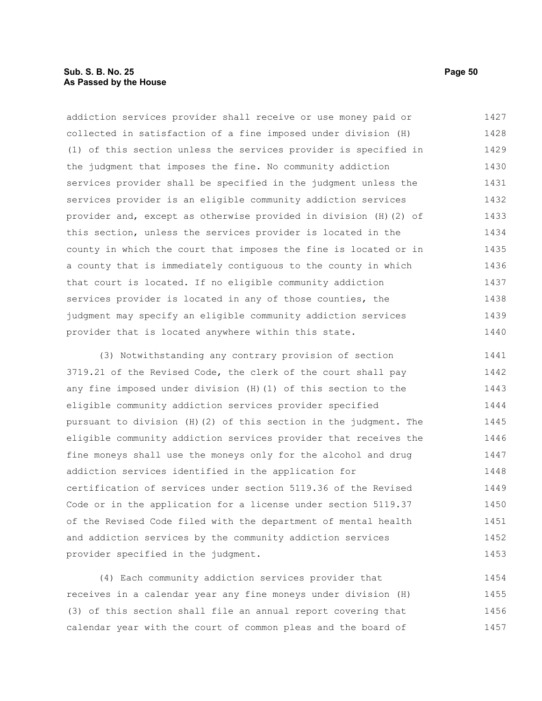#### **Sub. S. B. No. 25 Page 50 As Passed by the House**

addiction services provider shall receive or use money paid or collected in satisfaction of a fine imposed under division (H) (1) of this section unless the services provider is specified in the judgment that imposes the fine. No community addiction services provider shall be specified in the judgment unless the services provider is an eligible community addiction services provider and, except as otherwise provided in division (H)(2) of this section, unless the services provider is located in the county in which the court that imposes the fine is located or in a county that is immediately contiguous to the county in which that court is located. If no eligible community addiction services provider is located in any of those counties, the judgment may specify an eligible community addiction services provider that is located anywhere within this state. 1427 1428 1429 1430 1431 1432 1433 1434 1435 1436 1437 1438 1439 1440

(3) Notwithstanding any contrary provision of section 3719.21 of the Revised Code, the clerk of the court shall pay any fine imposed under division (H)(1) of this section to the eligible community addiction services provider specified pursuant to division (H)(2) of this section in the judgment. The eligible community addiction services provider that receives the fine moneys shall use the moneys only for the alcohol and drug addiction services identified in the application for certification of services under section 5119.36 of the Revised Code or in the application for a license under section 5119.37 of the Revised Code filed with the department of mental health and addiction services by the community addiction services provider specified in the judgment. 1441 1442 1443 1444 1445 1446 1447 1448 1449 1450 1451 1452 1453

(4) Each community addiction services provider that receives in a calendar year any fine moneys under division (H) (3) of this section shall file an annual report covering that calendar year with the court of common pleas and the board of 1454 1455 1456 1457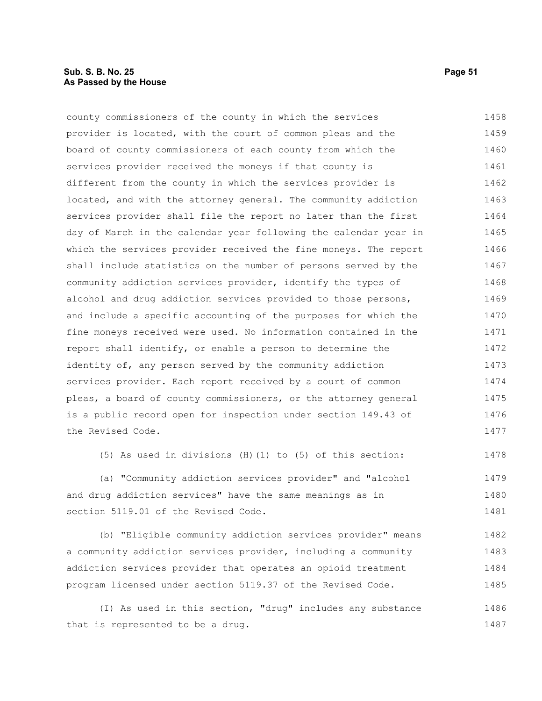#### **Sub. S. B. No. 25 Page 51 As Passed by the House**

county commissioners of the county in which the services provider is located, with the court of common pleas and the board of county commissioners of each county from which the services provider received the moneys if that county is different from the county in which the services provider is located, and with the attorney general. The community addiction services provider shall file the report no later than the first day of March in the calendar year following the calendar year in which the services provider received the fine moneys. The report shall include statistics on the number of persons served by the community addiction services provider, identify the types of alcohol and drug addiction services provided to those persons, and include a specific accounting of the purposes for which the fine moneys received were used. No information contained in the report shall identify, or enable a person to determine the identity of, any person served by the community addiction services provider. Each report received by a court of common pleas, a board of county commissioners, or the attorney general is a public record open for inspection under section 149.43 of the Revised Code. 1458 1459 1460 1461 1462 1463 1464 1465 1466 1467 1468 1469 1470 1471 1472 1473 1474 1475 1476 1477

(5) As used in divisions (H)(1) to (5) of this section: 1478

(a) "Community addiction services provider" and "alcohol and drug addiction services" have the same meanings as in section 5119.01 of the Revised Code. 1479 1480 1481

(b) "Eligible community addiction services provider" means a community addiction services provider, including a community addiction services provider that operates an opioid treatment program licensed under section 5119.37 of the Revised Code. 1482 1483 1484 1485

(I) As used in this section, "drug" includes any substance that is represented to be a drug. 1486 1487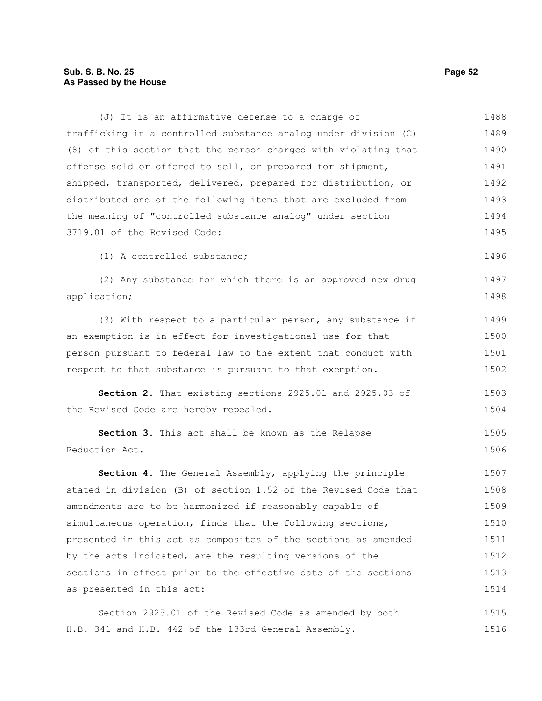#### **Sub. S. B. No. 25 Page 52 As Passed by the House**

as presented in this act:

(J) It is an affirmative defense to a charge of trafficking in a controlled substance analog under division (C) (8) of this section that the person charged with violating that offense sold or offered to sell, or prepared for shipment, shipped, transported, delivered, prepared for distribution, or distributed one of the following items that are excluded from the meaning of "controlled substance analog" under section 3719.01 of the Revised Code: (1) A controlled substance; (2) Any substance for which there is an approved new drug application; (3) With respect to a particular person, any substance if an exemption is in effect for investigational use for that person pursuant to federal law to the extent that conduct with respect to that substance is pursuant to that exemption. **Section 2.** That existing sections 2925.01 and 2925.03 of the Revised Code are hereby repealed. **Section 3.** This act shall be known as the Relapse Reduction Act. **Section 4.** The General Assembly, applying the principle stated in division (B) of section 1.52 of the Revised Code that amendments are to be harmonized if reasonably capable of simultaneous operation, finds that the following sections, presented in this act as composites of the sections as amended by the acts indicated, are the resulting versions of the sections in effect prior to the effective date of the sections 1488 1489 1490 1491 1492 1493 1494 1495 1496 1497 1498 1499 1500 1501 1502 1503 1504 1505 1506 1507 1508 1509 1510 1511 1512 1513

Section 2925.01 of the Revised Code as amended by both H.B. 341 and H.B. 442 of the 133rd General Assembly. 1515 1516